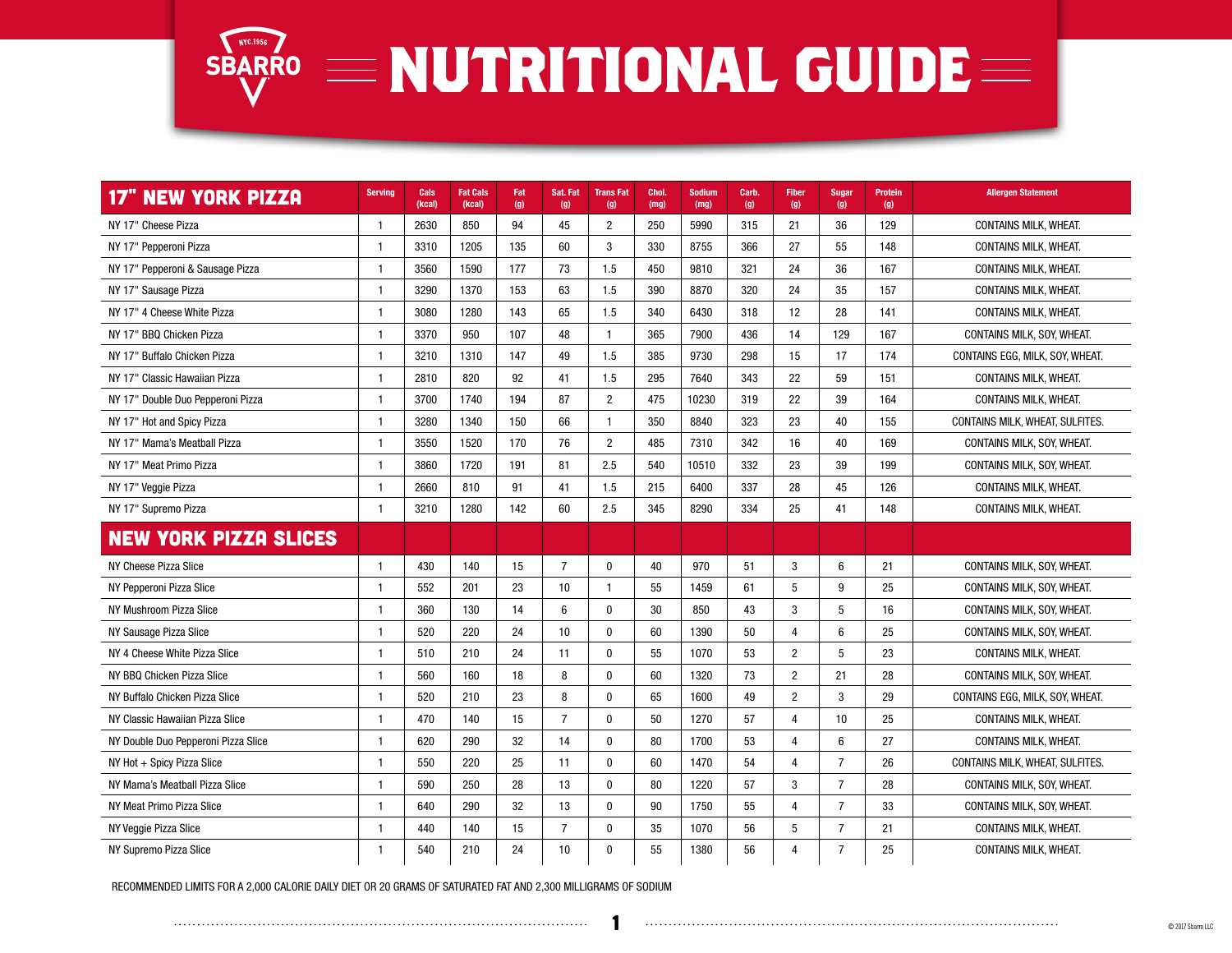

| <b>17" NEW YORK PIZZA</b>           | <b>Serving</b> | Cals<br>(kcal) | <b>Fat Cals</b><br>(kcal) | Fat<br>(g) | Sat. Fat<br>(g) | <b>TransFat</b><br>(g) | Chol.<br>(mg) | Sodium<br>(mg) | Carb.<br>(g) | Fiber<br>(g)   | Sugar<br>(g)    | Protein<br>(g) | <b>Allergen Statement</b>       |
|-------------------------------------|----------------|----------------|---------------------------|------------|-----------------|------------------------|---------------|----------------|--------------|----------------|-----------------|----------------|---------------------------------|
| NY 17" Cheese Pizza                 | $\mathbf{1}$   | 2630           | 850                       | 94         | 45              | $\overline{2}$         | 250           | 5990           | 315          | 21             | 36              | 129            | <b>CONTAINS MILK, WHEAT,</b>    |
| NY 17" Pepperoni Pizza              | $\mathbf{1}$   | 3310           | 1205                      | 135        | 60              | 3                      | 330           | 8755           | 366          | 27             | 55              | 148            | <b>CONTAINS MILK, WHEAT,</b>    |
| NY 17" Pepperoni & Sausage Pizza    | $\mathbf{1}$   | 3560           | 1590                      | 177        | 73              | 1.5                    | 450           | 9810           | 321          | 24             | 36              | 167            | CONTAINS MILK, WHEAT.           |
| NY 17" Sausage Pizza                | $\mathbf{1}$   | 3290           | 1370                      | 153        | 63              | 1.5                    | 390           | 8870           | 320          | 24             | 35              | 157            | <b>CONTAINS MILK, WHEAT,</b>    |
| NY 17" 4 Cheese White Pizza         | $\mathbf{1}$   | 3080           | 1280                      | 143        | 65              | 1.5                    | 340           | 6430           | 318          | 12             | 28              | 141            | <b>CONTAINS MILK, WHEAT,</b>    |
| NY 17" BBQ Chicken Pizza            | $\mathbf{1}$   | 3370           | 950                       | 107        | 48              | $\mathbf{1}$           | 365           | 7900           | 436          | 14             | 129             | 167            | CONTAINS MILK, SOY, WHEAT.      |
| NY 17" Buffalo Chicken Pizza        | $\mathbf{1}$   | 3210           | 1310                      | 147        | 49              | 1.5                    | 385           | 9730           | 298          | 15             | 17              | 174            | CONTAINS EGG. MILK. SOY. WHEAT. |
| NY 17" Classic Hawaiian Pizza       | $\mathbf{1}$   | 2810           | 820                       | 92         | 41              | 1.5                    | 295           | 7640           | 343          | 22             | 59              | 151            | <b>CONTAINS MILK, WHEAT,</b>    |
| NY 17" Double Duo Pepperoni Pizza   | $\mathbf{1}$   | 3700           | 1740                      | 194        | 87              | $\overline{2}$         | 475           | 10230          | 319          | 22             | 39              | 164            | CONTAINS MILK, WHEAT.           |
| NY 17" Hot and Spicy Pizza          | $\mathbf{1}$   | 3280           | 1340                      | 150        | 66              | -1                     | 350           | 8840           | 323          | 23             | 40              | 155            | CONTAINS MILK, WHEAT, SULFITES. |
| NY 17" Mama's Meatball Pizza        | $\mathbf{1}$   | 3550           | 1520                      | 170        | 76              | $\overline{2}$         | 485           | 7310           | 342          | 16             | 40              | 169            | CONTAINS MILK, SOY, WHEAT.      |
| NY 17" Meat Primo Pizza             | $\mathbf{1}$   | 3860           | 1720                      | 191        | 81              | 2.5                    | 540           | 10510          | 332          | 23             | 39              | 199            | CONTAINS MILK, SOY, WHEAT.      |
| NY 17" Veggie Pizza                 | $\mathbf{1}$   | 2660           | 810                       | 91         | 41              | 1.5                    | 215           | 6400           | 337          | 28             | 45              | 126            | CONTAINS MILK, WHEAT.           |
| NY 17" Supremo Pizza                | $\mathbf{1}$   | 3210           | 1280                      | 142        | 60              | 2.5                    | 345           | 8290           | 334          | 25             | 41              | 148            | <b>CONTAINS MILK, WHEAT.</b>    |
| <b>NEW YORK PIZZA SLICES</b>        |                |                |                           |            |                 |                        |               |                |              |                |                 |                |                                 |
| NY Cheese Pizza Slice               | $\mathbf{1}$   | 430            | 140                       | 15         | $\overline{7}$  | $\mathbf{0}$           | 40            | 970            | 51           | 3              | $6\phantom{1}6$ | 21             | CONTAINS MILK, SOY, WHEAT.      |
| NY Pepperoni Pizza Slice            | $\mathbf{1}$   | 552            | 201                       | 23         | 10              | $\mathbf 1$            | 55            | 1459           | 61           | 5              | 9               | 25             | CONTAINS MILK, SOY, WHEAT.      |
| NY Mushroom Pizza Slice             | $\mathbf{1}$   | 360            | 130                       | 14         | $6\phantom{1}$  | $\mathbf 0$            | 30            | 850            | 43           | 3              | 5               | 16             | CONTAINS MILK, SOY, WHEAT.      |
| NY Sausage Pizza Slice              | $\mathbf{1}$   | 520            | 220                       | 24         | 10              | $\mathbf{0}$           | 60            | 1390           | 50           | $\overline{4}$ | $6\phantom{1}6$ | 25             | CONTAINS MILK, SOY, WHEAT.      |
| NY 4 Cheese White Pizza Slice       | $\mathbf{1}$   | 510            | 210                       | 24         | 11              | $\mathbf{0}$           | 55            | 1070           | 53           | $\overline{2}$ | 5               | 23             | CONTAINS MILK, WHEAT.           |
| NY BBQ Chicken Pizza Slice          | $\mathbf{1}$   | 560            | 160                       | 18         | 8               | $\mathbf{0}$           | 60            | 1320           | 73           | $\overline{2}$ | 21              | 28             | CONTAINS MILK, SOY, WHEAT.      |
| NY Buffalo Chicken Pizza Slice      | $\mathbf{1}$   | 520            | 210                       | 23         | 8               | $\mathbf{0}$           | 65            | 1600           | 49           | $\overline{2}$ | 3               | 29             | CONTAINS EGG, MILK, SOY, WHEAT. |
| NY Classic Hawaiian Pizza Slice     | $\mathbf{1}$   | 470            | 140                       | 15         | $\overline{7}$  | $\mathbf{0}$           | 50            | 1270           | 57           | 4              | 10              | 25             | CONTAINS MILK, WHEAT.           |
| NY Double Duo Pepperoni Pizza Slice | $\mathbf{1}$   | 620            | 290                       | 32         | 14              | $\mathbf{0}$           | 80            | 1700           | 53           | $\overline{4}$ | $6\phantom{1}6$ | 27             | CONTAINS MILK, WHEAT.           |
| NY Hot + Spicy Pizza Slice          | $\mathbf{1}$   | 550            | 220                       | 25         | 11              | $\mathbf{0}$           | 60            | 1470           | 54           | $\overline{4}$ | $\overline{7}$  | 26             | CONTAINS MILK, WHEAT, SULFITES. |
| NY Mama's Meatball Pizza Slice      | $\mathbf{1}$   | 590            | 250                       | 28         | 13              | $\mathbf{0}$           | 80            | 1220           | 57           | 3              | $\overline{7}$  | 28             | CONTAINS MILK, SOY, WHEAT.      |
| NY Meat Primo Pizza Slice           | $\mathbf{1}$   | 640            | 290                       | 32         | 13              | $\mathbf{0}$           | 90            | 1750           | 55           | 4              | $\overline{7}$  | 33             | CONTAINS MILK, SOY, WHEAT.      |
| NY Veggie Pizza Slice               | $\mathbf{1}$   | 440            | 140                       | 15         | $\overline{7}$  | $\mathbf 0$            | 35            | 1070           | 56           | 5              | $\overline{7}$  | 21             | <b>CONTAINS MILK, WHEAT.</b>    |
| NY Supremo Pizza Slice              | $\mathbf{1}$   | 540            | 210                       | 24         | 10              | $\Omega$               | 55            | 1380           | 56           | $\overline{4}$ | $\overline{7}$  | 25             | <b>CONTAINS MILK, WHEAT.</b>    |

RECOMMENDED LIMITS FOR A 2,000 CALORIE DAILY DIET OR 20 GRAMS OF SATURATED FAT AND 2,300 MILLIGRAMS OF SODIUM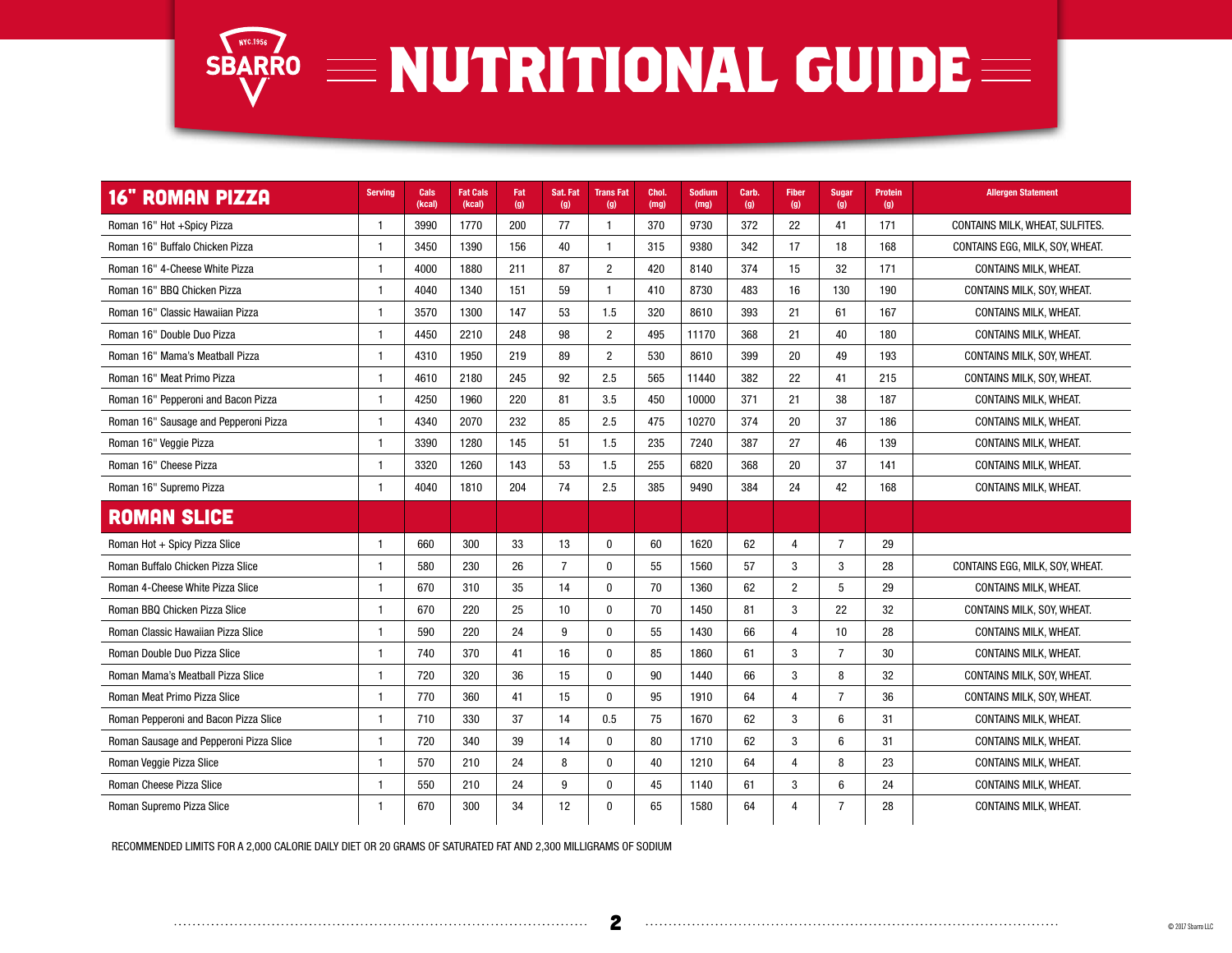

| <b>16" ROMAN PIZZA</b>                  | <b>Serving</b> | Cals<br>(kcal) | <b>Fat Cals</b><br>(kcal) | Fat<br>(g) | Sat. Fat<br>(g) | <b>TransFat</b><br>(g) | Chol.<br>(mg) | <b>Sodium</b><br>(mg) | Carb.<br>(g) | <b>Fiber</b><br>(g) | <b>Sugar</b><br>(g) | <b>Protein</b><br>(g) | <b>Allergen Statement</b>       |
|-----------------------------------------|----------------|----------------|---------------------------|------------|-----------------|------------------------|---------------|-----------------------|--------------|---------------------|---------------------|-----------------------|---------------------------------|
| Roman 16" Hot +Spicy Pizza              | $\overline{1}$ | 3990           | 1770                      | 200        | 77              | 1                      | 370           | 9730                  | 372          | 22                  | 41                  | 171                   | CONTAINS MILK, WHEAT, SULFITES. |
| Roman 16" Buffalo Chicken Pizza         | $\mathbf{1}$   | 3450           | 1390                      | 156        | 40              | $\mathbf 1$            | 315           | 9380                  | 342          | 17                  | 18                  | 168                   | CONTAINS EGG, MILK, SOY, WHEAT. |
| Roman 16" 4-Cheese White Pizza          | $\overline{1}$ | 4000           | 1880                      | 211        | 87              | $\overline{2}$         | 420           | 8140                  | 374          | 15                  | 32                  | 171                   | <b>CONTAINS MILK, WHEAT.</b>    |
| Roman 16" BBQ Chicken Pizza             | $\overline{1}$ | 4040           | 1340                      | 151        | 59              | $\mathbf 1$            | 410           | 8730                  | 483          | 16                  | 130                 | 190                   | CONTAINS MILK, SOY, WHEAT.      |
| Roman 16" Classic Hawaiian Pizza        | -1             | 3570           | 1300                      | 147        | 53              | 1.5                    | 320           | 8610                  | 393          | 21                  | 61                  | 167                   | <b>CONTAINS MILK, WHEAT,</b>    |
| Roman 16" Double Duo Pizza              | $\overline{1}$ | 4450           | 2210                      | 248        | 98              | $\overline{2}$         | 495           | 11170                 | 368          | 21                  | 40                  | 180                   | CONTAINS MILK, WHEAT.           |
| Roman 16" Mama's Meatball Pizza         | $\mathbf{1}$   | 4310           | 1950                      | 219        | 89              | $\overline{2}$         | 530           | 8610                  | 399          | 20                  | 49                  | 193                   | CONTAINS MILK, SOY, WHEAT.      |
| Roman 16" Meat Primo Pizza              | $\overline{1}$ | 4610           | 2180                      | 245        | 92              | 2.5                    | 565           | 11440                 | 382          | 22                  | 41                  | 215                   | CONTAINS MILK, SOY, WHEAT.      |
| Roman 16" Pepperoni and Bacon Pizza     | $\mathbf{1}$   | 4250           | 1960                      | 220        | 81              | 3.5                    | 450           | 10000                 | 371          | 21                  | 38                  | 187                   | <b>CONTAINS MILK, WHEAT,</b>    |
| Roman 16" Sausage and Pepperoni Pizza   | $\overline{1}$ | 4340           | 2070                      | 232        | 85              | 2.5                    | 475           | 10270                 | 374          | 20                  | 37                  | 186                   | <b>CONTAINS MILK, WHEAT.</b>    |
| Roman 16" Veggie Pizza                  | $\mathbf{1}$   | 3390           | 1280                      | 145        | 51              | 1.5                    | 235           | 7240                  | 387          | 27                  | 46                  | 139                   | <b>CONTAINS MILK, WHEAT,</b>    |
| Roman 16" Cheese Pizza                  | $\mathbf{1}$   | 3320           | 1260                      | 143        | 53              | 1.5                    | 255           | 6820                  | 368          | 20                  | 37                  | 141                   | <b>CONTAINS MILK, WHEAT.</b>    |
| Roman 16" Supremo Pizza                 | $\mathbf{1}$   | 4040           | 1810                      | 204        | 74              | 2.5                    | 385           | 9490                  | 384          | 24                  | 42                  | 168                   | CONTAINS MILK, WHEAT.           |
| <b>ROMAN SLICE</b>                      |                |                |                           |            |                 |                        |               |                       |              |                     |                     |                       |                                 |
| Roman Hot + Spicy Pizza Slice           | $\mathbf{1}$   | 660            | 300                       | 33         | 13              | $\mathbf{0}$           | 60            | 1620                  | 62           | 4                   | 7                   | 29                    |                                 |
| Roman Buffalo Chicken Pizza Slice       | $\overline{1}$ | 580            | 230                       | 26         | $\overline{7}$  | $\mathbf{0}$           | 55            | 1560                  | 57           | 3                   | 3                   | 28                    | CONTAINS EGG, MILK, SOY, WHEAT. |
| Roman 4-Cheese White Pizza Slice        | $\mathbf{1}$   | 670            | 310                       | 35         | 14              | $\mathbf{0}$           | 70            | 1360                  | 62           | $\overline{2}$      | -5                  | 29                    | <b>CONTAINS MILK, WHEAT,</b>    |
| Roman BBQ Chicken Pizza Slice           | $\mathbf{1}$   | 670            | 220                       | 25         | 10              | $\mathbf{0}$           | 70            | 1450                  | 81           | 3                   | 22                  | 32                    | CONTAINS MILK, SOY, WHEAT.      |
| Roman Classic Hawaiian Pizza Slice      | $\mathbf{1}$   | 590            | 220                       | 24         | 9               | $\mathbf{0}$           | 55            | 1430                  | 66           | 4                   | 10                  | 28                    | <b>CONTAINS MILK, WHEAT,</b>    |
| Roman Double Duo Pizza Slice            | $\mathbf{1}$   | 740            | 370                       | 41         | 16              | $\Omega$               | 85            | 1860                  | 61           | 3                   | $\overline{7}$      | 30                    | <b>CONTAINS MILK, WHEAT.</b>    |
| Roman Mama's Meatball Pizza Slice       | $\mathbf{1}$   | 720            | 320                       | 36         | 15              | $\mathbf{0}$           | 90            | 1440                  | 66           | 3                   | 8                   | 32                    | CONTAINS MILK, SOY, WHEAT,      |
| Roman Meat Primo Pizza Slice            | $\mathbf{1}$   | 770            | 360                       | 41         | 15              | $\Omega$               | 95            | 1910                  | 64           | $\overline{4}$      | $\overline{7}$      | 36                    | CONTAINS MILK, SOY, WHEAT.      |
| Roman Pepperoni and Bacon Pizza Slice   | $\overline{1}$ | 710            | 330                       | 37         | 14              | 0.5                    | 75            | 1670                  | 62           | 3                   | $6\phantom{1}6$     | 31                    | <b>CONTAINS MILK, WHEAT,</b>    |
| Roman Sausage and Pepperoni Pizza Slice | $\mathbf{1}$   | 720            | 340                       | 39         | 14              | $\mathbf{0}$           | 80            | 1710                  | 62           | 3                   | $6\phantom{1}6$     | 31                    | <b>CONTAINS MILK, WHEAT.</b>    |
| Roman Veggie Pizza Slice                | $\overline{1}$ | 570            | 210                       | 24         | 8               | $\mathbf{0}$           | 40            | 1210                  | 64           | 4                   | 8                   | 23                    | <b>CONTAINS MILK, WHEAT.</b>    |
| Roman Cheese Pizza Slice                | $\mathbf{1}$   | 550            | 210                       | 24         | g               | $\mathbf{0}$           | 45            | 1140                  | 61           | 3                   | $6\phantom{1}6$     | 24                    | <b>CONTAINS MILK, WHEAT.</b>    |
| Roman Supremo Pizza Slice               | $\mathbf{1}$   | 670            | 300                       | 34         | 12              | $\mathbf{0}$           | 65            | 1580                  | 64           | 4                   | $\overline{7}$      | 28                    | <b>CONTAINS MILK, WHEAT.</b>    |

RECOMMENDED LIMITS FOR A 2,000 CALORIE DAILY DIET OR 20 GRAMS OF SATURATED FAT AND 2,300 MILLIGRAMS OF SODIUM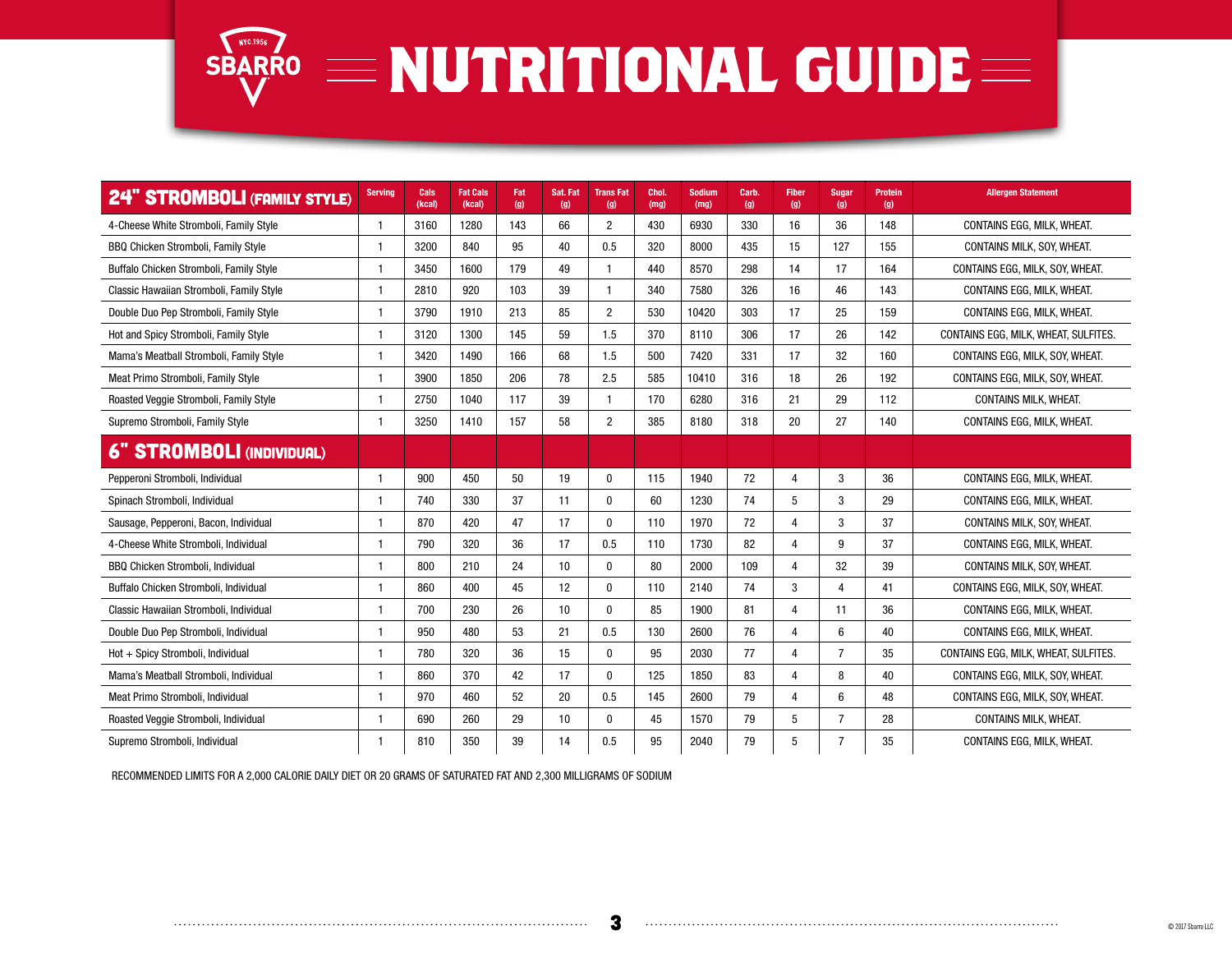

| <b>24" STROMBOLI (FAMILY STYLE)</b>      | <b>Serving</b> | Cals<br>(kcal) | <b>Fat Cals</b><br>(kcal) | Fat<br>(g) | Sat. Fat<br>(g) | <b>TransFat</b><br>(g) | Chol.<br>(mg) | <b>Sodium</b><br>(mg) | Carb.<br>(g) | <b>Fiber</b><br>(g) | Sugar<br>(g)   | <b>Protein</b><br>(g) | <b>Allergen Statement</b>            |
|------------------------------------------|----------------|----------------|---------------------------|------------|-----------------|------------------------|---------------|-----------------------|--------------|---------------------|----------------|-----------------------|--------------------------------------|
| 4-Cheese White Stromboli, Family Style   | $\mathbf{1}$   | 3160           | 1280                      | 143        | 66              | $\overline{2}$         | 430           | 6930                  | 330          | 16                  | 36             | 148                   | CONTAINS EGG, MILK, WHEAT.           |
| BBQ Chicken Stromboli, Family Style      |                | 3200           | 840                       | 95         | 40              | 0.5                    | 320           | 8000                  | 435          | 15                  | 127            | 155                   | CONTAINS MILK, SOY, WHEAT.           |
| Buffalo Chicken Stromboli, Family Style  | 1              | 3450           | 1600                      | 179        | 49              |                        | 440           | 8570                  | 298          | 14                  | 17             | 164                   | CONTAINS EGG, MILK, SOY, WHEAT.      |
| Classic Hawaiian Stromboli, Family Style | 1              | 2810           | 920                       | 103        | 39              |                        | 340           | 7580                  | 326          | 16                  | 46             | 143                   | CONTAINS EGG, MILK, WHEAT.           |
| Double Duo Pep Stromboli, Family Style   | -1             | 3790           | 1910                      | 213        | 85              | $\overline{2}$         | 530           | 10420                 | 303          | 17                  | 25             | 159                   | CONTAINS EGG, MILK, WHEAT.           |
| Hot and Spicy Stromboli, Family Style    | 1              | 3120           | 1300                      | 145        | 59              | 1.5                    | 370           | 8110                  | 306          | 17                  | 26             | 142                   | CONTAINS EGG, MILK, WHEAT, SULFITES. |
| Mama's Meatball Stromboli, Family Style  | $\mathbf{1}$   | 3420           | 1490                      | 166        | 68              | 1.5                    | 500           | 7420                  | 331          | 17                  | 32             | 160                   | CONTAINS EGG. MILK. SOY. WHEAT.      |
| Meat Primo Stromboli, Family Style       | $\mathbf{1}$   | 3900           | 1850                      | 206        | 78              | 2.5                    | 585           | 10410                 | 316          | 18                  | 26             | 192                   | CONTAINS EGG, MILK, SOY, WHEAT.      |
| Roasted Veggie Stromboli, Family Style   | -1             | 2750           | 1040                      | 117        | 39              |                        | 170           | 6280                  | 316          | 21                  | 29             | 112                   | CONTAINS MILK, WHEAT.                |
| Supremo Stromboli, Family Style          | 1              | 3250           | 1410                      | 157        | 58              | $\overline{2}$         | 385           | 8180                  | 318          | 20                  | 27             | 140                   | CONTAINS EGG, MILK, WHEAT.           |
| <b>6" STROMBOLI (INDIVIDUAL)</b>         |                |                |                           |            |                 |                        |               |                       |              |                     |                |                       |                                      |
| Pepperoni Stromboli, Individual          | -1             | 900            | 450                       | 50         | 19              | $\mathbf{0}$           | 115           | 1940                  | 72           | $\overline{4}$      | 3              | 36                    | CONTAINS EGG. MILK. WHEAT.           |
| Spinach Stromboli, Individual            | $\mathbf{1}$   | 740            | 330                       | 37         | 11              | $\mathbf{0}$           | 60            | 1230                  | 74           | 5                   | 3              | 29                    | CONTAINS EGG, MILK, WHEAT.           |
| Sausage, Pepperoni, Bacon, Individual    | 1              | 870            | 420                       | 47         | 17              | $\Omega$               | 110           | 1970                  | 72           | $\overline{4}$      | 3              | 37                    | CONTAINS MILK, SOY, WHEAT.           |
| 4-Cheese White Stromboli, Individual     | -1             | 790            | 320                       | 36         | 17              | 0.5                    | 110           | 1730                  | 82           | $\overline{4}$      | 9              | 37                    | CONTAINS EGG, MILK, WHEAT.           |
| <b>BBQ Chicken Stromboli, Individual</b> | 1              | 800            | 210                       | 24         | 10              | $\mathbf{0}$           | 80            | 2000                  | 109          | $\overline{4}$      | 32             | 39                    | CONTAINS MILK, SOY, WHEAT,           |
| Buffalo Chicken Stromboli, Individual    | 1              | 860            | 400                       | 45         | 12              | $\Omega$               | 110           | 2140                  | 74           | 3                   | $\Lambda$      | 41                    | CONTAINS EGG, MILK, SOY, WHEAT.      |
| Classic Hawaiian Stromboli, Individual   | 1              | 700            | 230                       | 26         | 10              | $\Omega$               | 85            | 1900                  | 81           | $\overline{4}$      | 11             | 36                    | CONTAINS EGG. MILK. WHEAT.           |
| Double Duo Pep Stromboli, Individual     | -1             | 950            | 480                       | 53         | 21              | 0.5                    | 130           | 2600                  | 76           | $\overline{4}$      | 6              | 40                    | CONTAINS EGG, MILK, WHEAT.           |
| Hot + Spicy Stromboli, Individual        |                | 780            | 320                       | 36         | 15              | $\mathbf{0}$           | 95            | 2030                  | 77           | $\overline{4}$      | $\overline{7}$ | 35                    | CONTAINS EGG, MILK, WHEAT, SULFITES. |
| Mama's Meatball Stromboli, Individual    | $\mathbf{1}$   | 860            | 370                       | 42         | 17              | $\Omega$               | 125           | 1850                  | 83           | $\Delta$            | 8              | 40                    | CONTAINS EGG, MILK, SOY, WHEAT.      |
| Meat Primo Stromboli, Individual         | 1              | 970            | 460                       | 52         | 20              | 0.5                    | 145           | 2600                  | 79           | $\overline{4}$      | 6              | 48                    | CONTAINS EGG, MILK, SOY, WHEAT.      |
| Roasted Veggie Stromboli, Individual     | -1             | 690            | 260                       | 29         | 10              | $\Omega$               | 45            | 1570                  | 79           | 5                   | 7              | 28                    | <b>CONTAINS MILK, WHEAT,</b>         |
| Supremo Stromboli, Individual            |                | 810            | 350                       | 39         | 14              | 0.5                    | 95            | 2040                  | 79           | 5                   | 7              | 35                    | CONTAINS EGG, MILK, WHEAT.           |

RECOMMENDED LIMITS FOR A 2,000 CALORIE DAILY DIET OR 20 GRAMS OF SATURATED FAT AND 2,300 MILLIGRAMS OF SODIUM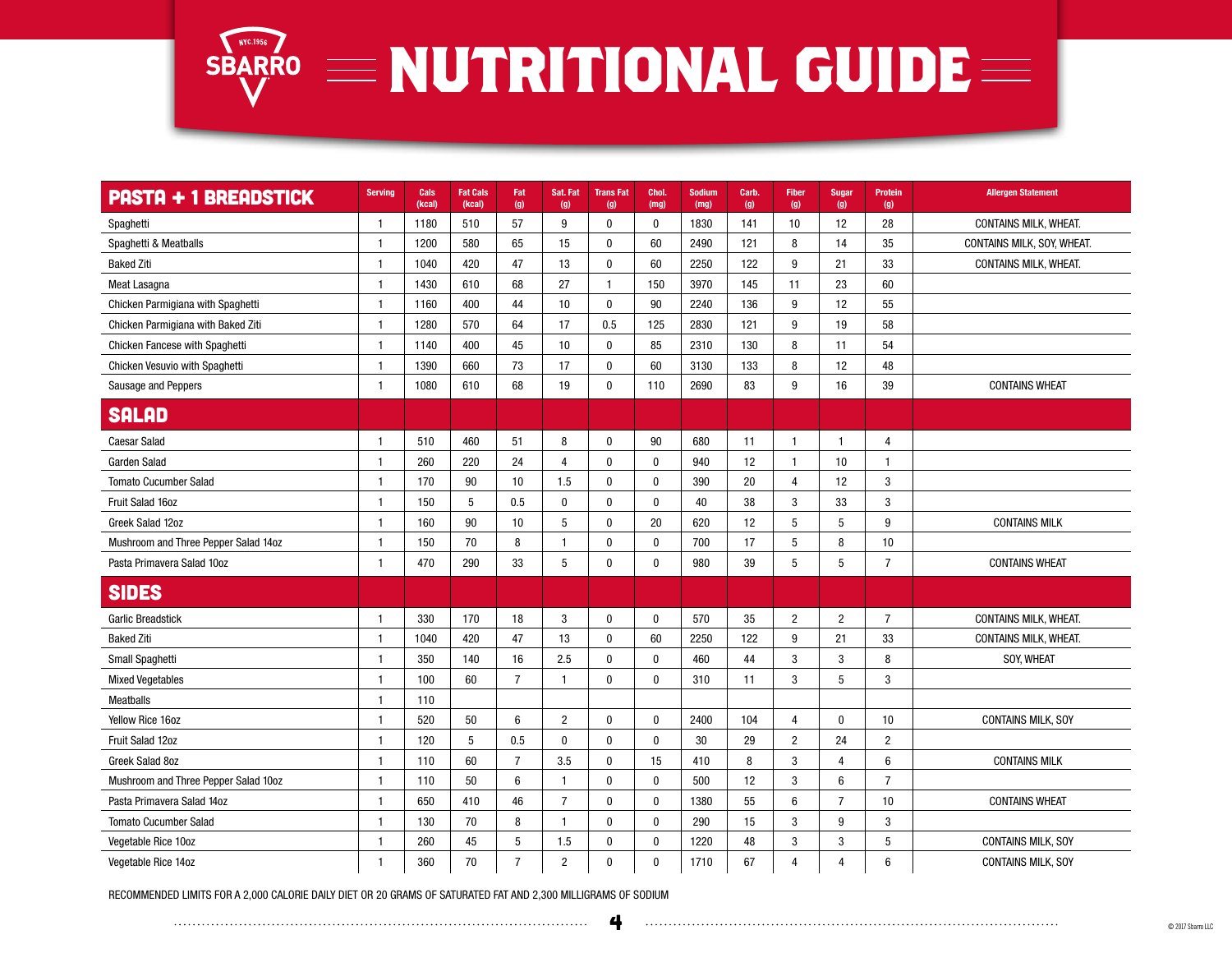

| <b>PASTA + 1 BREADSTICK</b>          | <b>Serving</b> | Cals<br>(kcal) | <b>Fat Cals</b><br>(kcal) | Fat<br>(g)     | Sat. Fat<br>(g) | <b>TransFat</b><br>(g) | Chol.<br>(mg) | <b>Sodium</b><br>(mg) | Carb.<br>(g) | <b>Fiber</b><br>(g) | <b>Sugar</b><br>(g) | <b>Protein</b><br>(g) | <b>Allergen Statement</b>    |
|--------------------------------------|----------------|----------------|---------------------------|----------------|-----------------|------------------------|---------------|-----------------------|--------------|---------------------|---------------------|-----------------------|------------------------------|
| Spaghetti                            | $\overline{1}$ | 1180           | 510                       | 57             | 9               | $\mathbf 0$            | $\mathbf 0$   | 1830                  | 141          | 10                  | 12                  | 28                    | CONTAINS MILK, WHEAT.        |
| Spaghetti & Meatballs                | $\mathbf{1}$   | 1200           | 580                       | 65             | 15              | $\mathbf 0$            | 60            | 2490                  | 121          | 8                   | 14                  | 35                    | CONTAINS MILK, SOY, WHEAT.   |
| <b>Baked Ziti</b>                    | $\mathbf{1}$   | 1040           | 420                       | 47             | 13              | $\mathbf 0$            | 60            | 2250                  | 122          | 9                   | 21                  | 33                    | CONTAINS MILK, WHEAT.        |
| Meat Lasagna                         | $\mathbf{1}$   | 1430           | 610                       | 68             | 27              | $\mathbf{1}$           | 150           | 3970                  | 145          | 11                  | 23                  | 60                    |                              |
| Chicken Parmigiana with Spaghetti    | $\mathbf{1}$   | 1160           | 400                       | 44             | 10              | $\mathbf 0$            | 90            | 2240                  | 136          | 9                   | 12                  | 55                    |                              |
| Chicken Parmigiana with Baked Ziti   | $\mathbf{1}$   | 1280           | 570                       | 64             | 17              | 0.5                    | 125           | 2830                  | 121          | 9                   | 19                  | 58                    |                              |
| Chicken Fancese with Spaghetti       | $\mathbf{1}$   | 1140           | 400                       | 45             | 10              | $\mathbf 0$            | 85            | 2310                  | 130          | 8                   | 11                  | 54                    |                              |
| Chicken Vesuvio with Spaghetti       | $\mathbf{1}$   | 1390           | 660                       | 73             | 17              | $\mathbf 0$            | 60            | 3130                  | 133          | 8                   | 12                  | 48                    |                              |
| Sausage and Peppers                  | $\mathbf{1}$   | 1080           | 610                       | 68             | 19              | $\mathbf 0$            | 110           | 2690                  | 83           | 9                   | 16                  | 39                    | <b>CONTAINS WHEAT</b>        |
| <b>SALAD</b>                         |                |                |                           |                |                 |                        |               |                       |              |                     |                     |                       |                              |
| <b>Caesar Salad</b>                  | $\mathbf{1}$   | 510            | 460                       | 51             | 8               | $\mathbf 0$            | 90            | 680                   | 11           | $\mathbf{1}$        | $\mathbf{1}$        | 4                     |                              |
| Garden Salad                         | $\mathbf{1}$   | 260            | 220                       | 24             | $\overline{4}$  | $\mathbf 0$            | $\mathbf{0}$  | 940                   | 12           | $\mathbf{1}$        | 10                  | $\mathbf{1}$          |                              |
| <b>Tomato Cucumber Salad</b>         | $\mathbf{1}$   | 170            | 90                        | 10             | 1.5             | $\mathbf 0$            | $\mathbf 0$   | 390                   | 20           | $\overline{4}$      | 12                  | $\overline{3}$        |                              |
| Fruit Salad 16oz                     | $\mathbf{1}$   | 150            | 5                         | 0.5            | $\bf{0}$        | $\bf{0}$               | $\pmb{0}$     | 40                    | 38           | 3                   | 33                  | $\mathbf{3}$          |                              |
| Greek Salad 12oz                     | $\mathbf{1}$   | 160            | 90                        | 10             | 5               | $\mathbf 0$            | 20            | 620                   | 12           | 5                   | 5                   | 9                     | <b>CONTAINS MILK</b>         |
| Mushroom and Three Pepper Salad 14oz | $\mathbf{1}$   | 150            | 70                        | 8              | -1              | $\mathbf 0$            | $\mathbf{0}$  | 700                   | 17           | 5                   | 8                   | 10                    |                              |
| Pasta Primavera Salad 10oz           | $\mathbf{1}$   | 470            | 290                       | 33             | 5               | $\mathbf 0$            | $\mathbf{0}$  | 980                   | 39           | 5                   | 5                   | $\overline{7}$        | <b>CONTAINS WHEAT</b>        |
| <b>SIDES</b>                         |                |                |                           |                |                 |                        |               |                       |              |                     |                     |                       |                              |
| <b>Garlic Breadstick</b>             | $\mathbf{1}$   | 330            | 170                       | 18             | 3               | $\mathbf 0$            | $\mathbf{0}$  | 570                   | 35           | $\overline{2}$      | $\overline{2}$      | $\overline{7}$        | <b>CONTAINS MILK, WHEAT.</b> |
| <b>Baked Ziti</b>                    | $\mathbf{1}$   | 1040           | 420                       | 47             | 13              | 0                      | 60            | 2250                  | 122          | 9                   | 21                  | 33                    | CONTAINS MILK, WHEAT.        |
| Small Spaghetti                      | $\mathbf{1}$   | 350            | 140                       | 16             | 2.5             | $\mathbf 0$            | $\mathbf{0}$  | 460                   | 44           | 3                   | 3                   | 8                     | <b>SOY. WHEAT</b>            |
| <b>Mixed Vegetables</b>              | $\mathbf{1}$   | 100            | 60                        | $\overline{7}$ | -1              | $\mathbf 0$            | 0             | 310                   | 11           | 3                   | 5                   | 3                     |                              |
| <b>Meatballs</b>                     | $\mathbf{1}$   | 110            |                           |                |                 |                        |               |                       |              |                     |                     |                       |                              |
| Yellow Rice 16oz                     | $\mathbf{1}$   | 520            | 50                        | 6              | $\overline{2}$  | $\bf{0}$               | $\bf{0}$      | 2400                  | 104          | $\overline{4}$      | $\bf{0}$            | 10                    | <b>CONTAINS MILK, SOY</b>    |
| Fruit Salad 12oz                     | $\mathbf{1}$   | 120            | 5                         | 0.5            | $\mathbf{0}$    | $\mathbf 0$            | $\mathbf{0}$  | 30                    | 29           | $\overline{2}$      | 24                  | $\overline{2}$        |                              |
| Greek Salad 8oz                      | $\mathbf{1}$   | 110            | 60                        | $\overline{7}$ | 3.5             | $\mathbf 0$            | 15            | 410                   | 8            | 3                   | 4                   | 6                     | <b>CONTAINS MILK</b>         |
| Mushroom and Three Pepper Salad 10oz | $\mathbf{1}$   | 110            | 50                        | $6\phantom{1}$ | $\mathbf{1}$    | $\mathbf 0$            | $\mathbf 0$   | 500                   | 12           | 3                   | 6                   | $\overline{7}$        |                              |
| Pasta Primavera Salad 14oz           | $\mathbf 1$    | 650            | 410                       | 46             | $\overline{7}$  | $\mathbf{0}$           | $\mathbf{0}$  | 1380                  | 55           | $6\phantom{1}6$     | $\overline{7}$      | 10                    | <b>CONTAINS WHEAT</b>        |
| <b>Tomato Cucumber Salad</b>         | $\mathbf{1}$   | 130            | 70                        | 8              | $\mathbf{1}$    | $\bf{0}$               | $\pmb{0}$     | 290                   | 15           | 3                   | 9                   | $\mathbf{3}$          |                              |
| Vegetable Rice 10oz                  | $\mathbf{1}$   | 260            | 45                        | 5              | 1.5             | $\mathbf 0$            | $\mathbf{0}$  | 1220                  | 48           | 3                   | 3                   | 5                     | <b>CONTAINS MILK, SOY</b>    |
| Vegetable Rice 14oz                  | $\mathbf{1}$   | 360            | 70                        | $\overline{7}$ | $\overline{2}$  | $\mathbf 0$            | $\bf{0}$      | 1710                  | 67           | $\overline{4}$      | 4                   | 6                     | <b>CONTAINS MILK, SOY</b>    |

RECOMMENDED LIMITS FOR A 2,000 CALORIE DAILY DIET OR 20 GRAMS OF SATURATED FAT AND 2,300 MILLIGRAMS OF SODIUM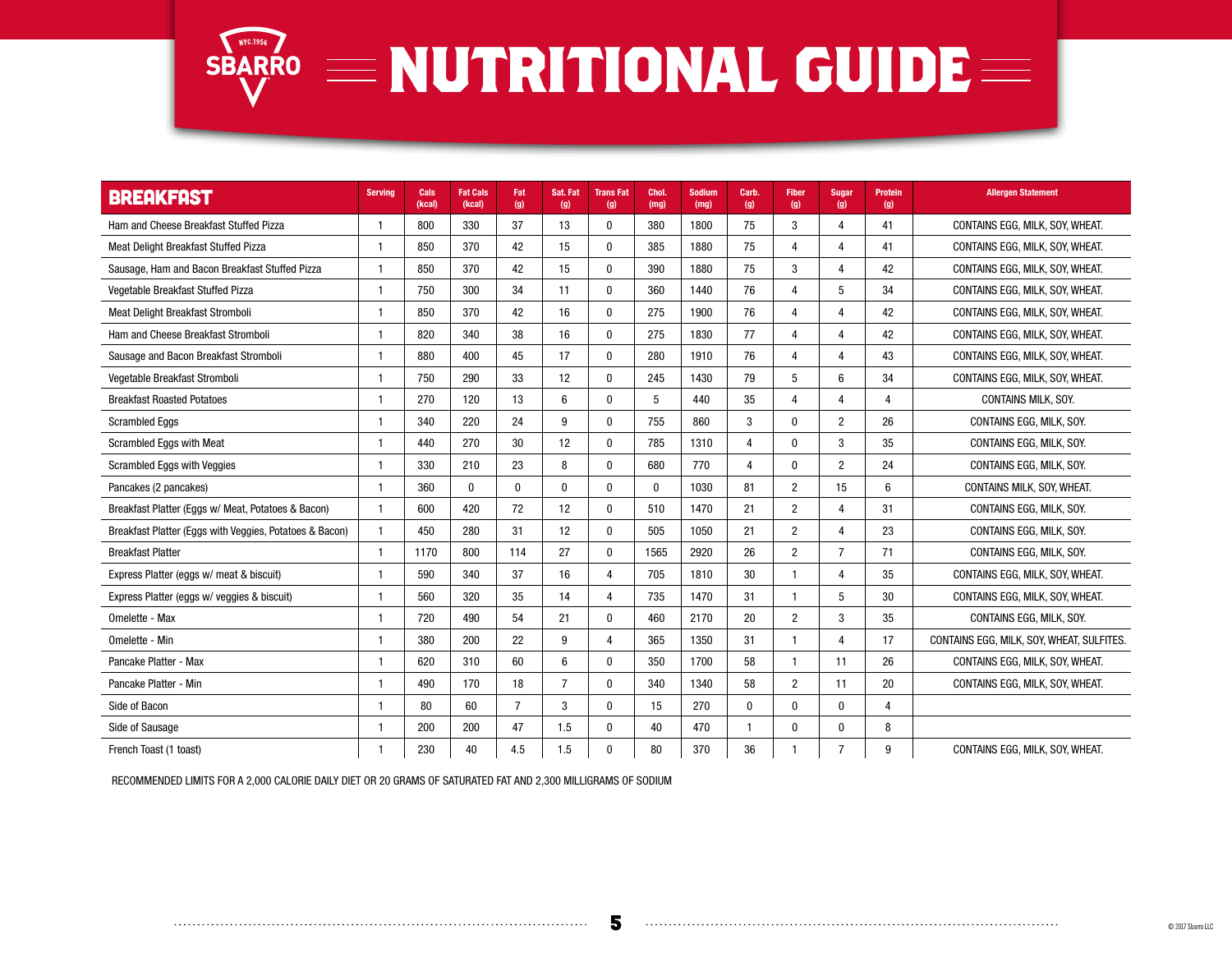

| <b>BREAKFAST</b>                                        | <b>Serving</b> | Cals<br>(kcal) | <b>Fat Cals</b><br>(kcal) | Fat<br>(g)     | Sat. Fat<br>(g) | <b>TransFat</b><br>(g) | Chol.<br>(mg) | <b>Sodium</b><br>(mq) | Carb.<br>(g)   | <b>Fiber</b><br>(g) | <b>Sugar</b><br>(g) | <b>Protein</b><br>(g) | <b>Allergen Statement</b>                 |
|---------------------------------------------------------|----------------|----------------|---------------------------|----------------|-----------------|------------------------|---------------|-----------------------|----------------|---------------------|---------------------|-----------------------|-------------------------------------------|
| Ham and Cheese Breakfast Stuffed Pizza                  | 1              | 800            | 330                       | 37             | 13              | $\mathbf{0}$           | 380           | 1800                  | 75             | 3                   | 4                   | 41                    | CONTAINS EGG, MILK, SOY, WHEAT.           |
| Meat Delight Breakfast Stuffed Pizza                    | 1              | 850            | 370                       | 42             | 15              | $\Omega$               | 385           | 1880                  | 75             | $\overline{4}$      | 4                   | 41                    | CONTAINS EGG, MILK, SOY, WHEAT.           |
| Sausage, Ham and Bacon Breakfast Stuffed Pizza          | -1             | 850            | 370                       | 42             | 15              | $\mathbf{0}$           | 390           | 1880                  | 75             | 3                   | 4                   | 42                    | CONTAINS EGG, MILK, SOY, WHEAT.           |
| Vegetable Breakfast Stuffed Pizza                       | $\mathbf{1}$   | 750            | 300                       | 34             | 11              | $\Omega$               | 360           | 1440                  | 76             | $\overline{4}$      | 5                   | 34                    | CONTAINS EGG, MILK, SOY, WHEAT.           |
| Meat Delight Breakfast Stromboli                        | $\mathbf{1}$   | 850            | 370                       | 42             | 16              | $\Omega$               | 275           | 1900                  | 76             | $\overline{4}$      | 4                   | 42                    | CONTAINS EGG, MILK, SOY, WHEAT.           |
| Ham and Cheese Breakfast Stromboli                      | 1              | 820            | 340                       | 38             | 16              | $\Omega$               | 275           | 1830                  | 77             | $\overline{4}$      | 4                   | 42                    | CONTAINS EGG, MILK, SOY, WHEAT.           |
| Sausage and Bacon Breakfast Stromboli                   |                | 880            | 400                       | 45             | 17              | $\Omega$               | 280           | 1910                  | 76             | $\overline{4}$      | Δ                   | 43                    | CONTAINS EGG, MILK, SOY, WHEAT.           |
| Vegetable Breakfast Stromboli                           | -1             | 750            | 290                       | 33             | 12              | $\Omega$               | 245           | 1430                  | 79             | 5                   | 6                   | 34                    | CONTAINS EGG, MILK, SOY, WHEAT.           |
| <b>Breakfast Roasted Potatoes</b>                       |                | 270            | 120                       | 13             | $6\phantom{1}6$ | $\mathbf{0}$           | 5             | 440                   | 35             | $\overline{4}$      | 4                   | $\overline{4}$        | <b>CONTAINS MILK, SOY.</b>                |
| <b>Scrambled Eggs</b>                                   | 1              | 340            | 220                       | 24             | 9               | $\mathbf{0}$           | 755           | 860                   | 3              | $\mathbf{0}$        | $\overline{2}$      | 26                    | CONTAINS EGG, MILK, SOY.                  |
| Scrambled Eggs with Meat                                | $\mathbf{1}$   | 440            | 270                       | 30             | 12              | $\Omega$               | 785           | 1310                  | $\overline{4}$ | $\mathbf{0}$        | 3                   | 35                    | CONTAINS EGG, MILK, SOY.                  |
| Scrambled Eggs with Veggies                             | $\mathbf{1}$   | 330            | 210                       | 23             | 8               | $\mathbf{0}$           | 680           | 770                   | 4              | $\mathbf{0}$        | 2                   | 24                    | CONTAINS EGG, MILK, SOY.                  |
| Pancakes (2 pancakes)                                   | $\mathbf{1}$   | 360            | $\mathbf{0}$              | $\bf{0}$       | $\mathbf{0}$    | $\Omega$               | 0             | 1030                  | 81             | $\overline{2}$      | 15                  | 6                     | CONTAINS MILK, SOY, WHEAT.                |
| Breakfast Platter (Eggs w/ Meat, Potatoes & Bacon)      | $\mathbf{1}$   | 600            | 420                       | 72             | 12              | $\Omega$               | 510           | 1470                  | 21             | $\overline{2}$      | 4                   | 31                    | CONTAINS EGG. MILK, SOY.                  |
| Breakfast Platter (Eggs with Veggies, Potatoes & Bacon) | $\mathbf{1}$   | 450            | 280                       | 31             | 12              | $\mathbf{0}$           | 505           | 1050                  | 21             | $\overline{2}$      | 4                   | 23                    | CONTAINS EGG. MILK, SOY.                  |
| <b>Breakfast Platter</b>                                | 1              | 1170           | 800                       | 114            | 27              | $\mathbf{0}$           | 1565          | 2920                  | 26             | $\overline{2}$      | $\overline{7}$      | 71                    | CONTAINS EGG. MILK, SOY.                  |
| Express Platter (eggs w/ meat & biscuit)                | $\mathbf{1}$   | 590            | 340                       | 37             | 16              | 4                      | 705           | 1810                  | 30             | $\mathbf{1}$        | 4                   | 35                    | CONTAINS EGG. MILK. SOY. WHEAT.           |
| Express Platter (eggs w/ veggies & biscuit)             | -1             | 560            | 320                       | 35             | 14              | 4                      | 735           | 1470                  | 31             | $\mathbf{1}$        | 5                   | 30                    | CONTAINS EGG, MILK, SOY, WHEAT.           |
| Omelette - Max                                          | 1              | 720            | 490                       | 54             | 21              | $\mathbf{0}$           | 460           | 2170                  | 20             | $\overline{2}$      | 3                   | 35                    | CONTAINS EGG, MILK, SOY.                  |
| Omelette - Min                                          | -1             | 380            | 200                       | 22             | 9               | 4                      | 365           | 1350                  | 31             | $\mathbf{1}$        | 4                   | 17                    | CONTAINS EGG, MILK, SOY, WHEAT, SULFITES. |
| Pancake Platter - Max                                   | -1             | 620            | 310                       | 60             | 6               | $\mathbf{0}$           | 350           | 1700                  | 58             | $\mathbf{1}$        | 11                  | 26                    | CONTAINS EGG, MILK, SOY, WHEAT.           |
| Pancake Platter - Min                                   | 1              | 490            | 170                       | 18             | $\overline{7}$  | $\mathbf{0}$           | 340           | 1340                  | 58             | $\overline{2}$      | 11                  | 20                    | CONTAINS EGG, MILK, SOY, WHEAT.           |
| Side of Bacon                                           | $\overline{1}$ | 80             | 60                        | $\overline{7}$ | 3               | $\Omega$               | 15            | 270                   | $\Omega$       | $\mathbf{0}$        | $\Omega$            | $\overline{4}$        |                                           |
| Side of Sausage                                         | 1              | 200            | 200                       | 47             | 1.5             | $\mathbf{0}$           | 40            | 470                   | 1              | $\mathbf{0}$        | $\mathbf{0}$        | 8                     |                                           |
| French Toast (1 toast)                                  | 1              | 230            | 40                        | 4.5            | 1.5             | $\mathbf{0}$           | 80            | 370                   | 36             | $\mathbf{1}$        |                     | 9                     | CONTAINS EGG, MILK, SOY, WHEAT.           |

RECOMMENDED LIMITS FOR A 2,000 CALORIE DAILY DIET OR 20 GRAMS OF SATURATED FAT AND 2,300 MILLIGRAMS OF SODIUM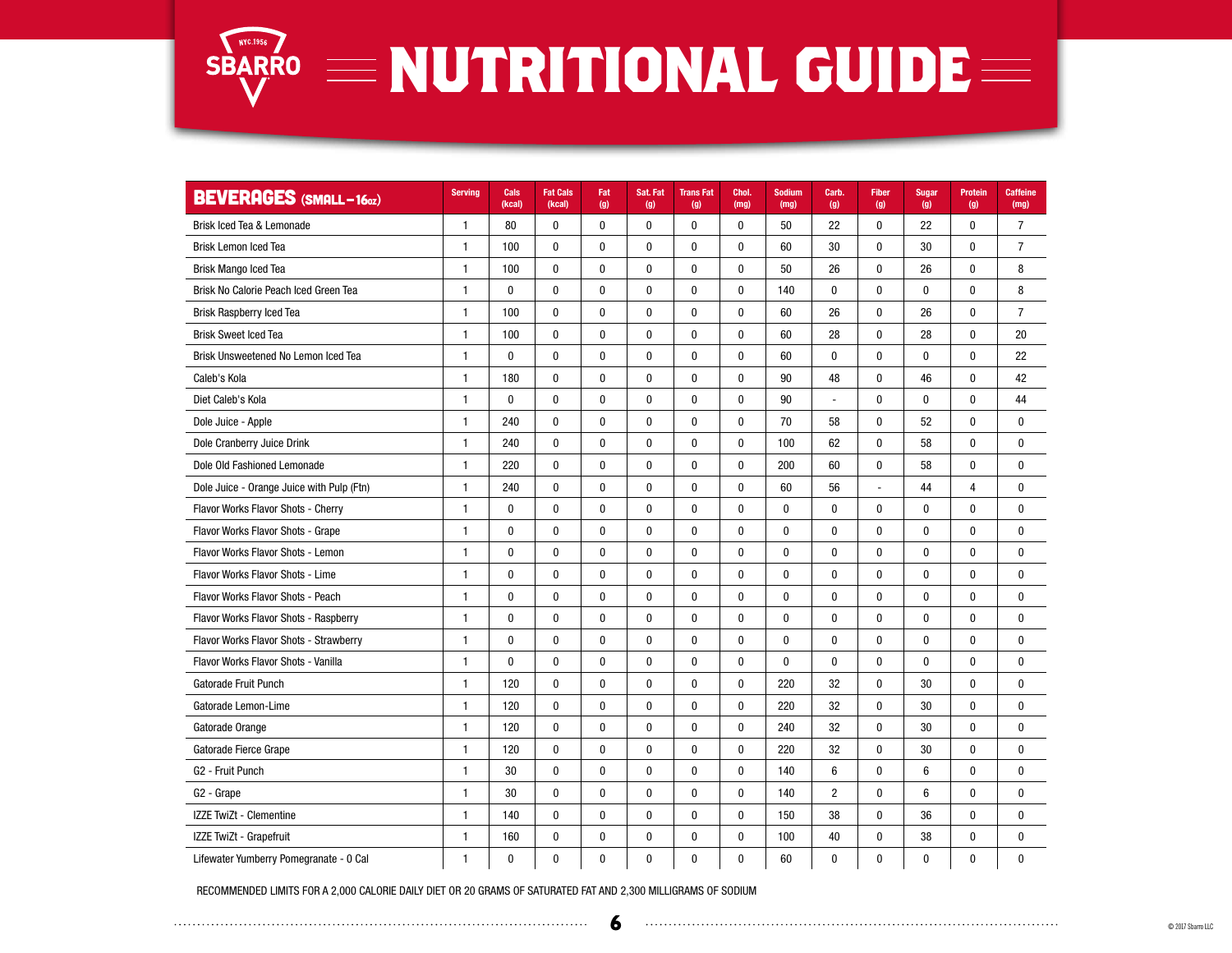

| <b>BEVERAGES (SMALL-160z)</b>             | <b>Serving</b> | Cals<br>(kcal) | <b>Fat Cals</b><br>(kcal) | Fat<br>(g)   | Sat. Fat<br>(g) | <b>TransFat</b><br>(g) | Chol.<br>(mg) | <b>Sodium</b><br>(mg) | Carb.<br>(g)   | <b>Fiber</b><br>(g) | <b>Sugar</b><br>(g) | Protein<br>(g) | <b>Caffeine</b><br>(mg) |
|-------------------------------------------|----------------|----------------|---------------------------|--------------|-----------------|------------------------|---------------|-----------------------|----------------|---------------------|---------------------|----------------|-------------------------|
| Brisk Iced Tea & Lemonade                 | $\mathbf{1}$   | 80             | $\bf{0}$                  | 0            | 0               | 0                      | $\bf{0}$      | 50                    | 22             | $\mathbf{0}$        | 22                  | $\mathbf{0}$   | $\overline{7}$          |
| <b>Brisk Lemon Iced Tea</b>               | $\mathbf{1}$   | 100            | $\mathbf{0}$              | $\mathbf{0}$ | $\mathbf 0$     | 0                      | $\mathbf 0$   | 60                    | 30             | $\bf{0}$            | 30                  | $\mathbf{0}$   | $\overline{7}$          |
| <b>Brisk Mango Iced Tea</b>               | $\mathbf{1}$   | 100            | $\mathbf{0}$              | $\mathbf{0}$ | 0               | 0                      | $\mathbf 0$   | 50                    | 26             | $\mathbf{0}$        | 26                  | $\mathbf{0}$   | 8                       |
| Brisk No Calorie Peach Iced Green Tea     | $\mathbf{1}$   | $\pmb{0}$      | $\pmb{0}$                 | $\pmb{0}$    | 0               | $\pmb{0}$              | $\bf{0}$      | 140                   | 0              | $\pmb{0}$           | $\pmb{0}$           | $\mathbf{0}$   | 8                       |
| <b>Brisk Raspberry Iced Tea</b>           | $\mathbf{1}$   | 100            | $\bf{0}$                  | $\pmb{0}$    | 0               | $\pmb{0}$              | $\bf{0}$      | 60                    | 26             | $\mathbf{0}$        | 26                  | $\mathbf{0}$   | $\overline{7}$          |
| <b>Brisk Sweet Iced Tea</b>               | $\mathbf{1}$   | 100            | $\pmb{0}$                 | $\pmb{0}$    | $\pmb{0}$       | $\bf{0}$               | $\pmb{0}$     | 60                    | 28             | $\bf{0}$            | 28                  | $\mathbf{0}$   | 20                      |
| Brisk Unsweetened No Lemon Iced Tea       | $\mathbf{1}$   | $\mathbf{0}$   | $\mathbf{0}$              | $\mathbf{0}$ | $\mathbf{0}$    | $\mathbf 0$            | $\bf{0}$      | 60                    | 0              | $\mathbf{0}$        | $\mathbf{0}$        | $\mathbf{0}$   | 22                      |
| Caleb's Kola                              | 1              | 180            | $\bf{0}$                  | $\pmb{0}$    | 0               | 0                      | $\bf{0}$      | 90                    | 48             | $\bf{0}$            | 46                  | $\mathbf{0}$   | 42                      |
| Diet Caleb's Kola                         | 1              | 0              | $\bf{0}$                  | 0            | 0               | $\bf{0}$               | $\bf{0}$      | 90                    | Ĭ.             | $\bf{0}$            | $\pmb{0}$           | $\pmb{0}$      | 44                      |
| Dole Juice - Apple                        | $\mathbf{1}$   | 240            | $\mathbf 0$               | $\pmb{0}$    | 0               | 0                      | $\mathbf{0}$  | 70                    | 58             | $\mathbf{0}$        | 52                  | $\mathbf{0}$   | 0                       |
| Dole Cranberry Juice Drink                | $\mathbf{1}$   | 240            | $\bf{0}$                  | 0            | 0               | $\bf{0}$               | $\mathbf{0}$  | 100                   | 62             | $\mathbf{0}$        | 58                  | $\mathbf{0}$   | $\bf{0}$                |
| Dole Old Fashioned Lemonade               | $\mathbf{1}$   | 220            | $\mathbf{0}$              | $\mathbf{0}$ | $\mathbf{0}$    | 0                      | $\mathbf{0}$  | 200                   | 60             | $\mathbf{0}$        | 58                  | $\mathbf{0}$   | $\mathbf{0}$            |
| Dole Juice - Orange Juice with Pulp (Ftn) | $\mathbf{1}$   | 240            | $\pmb{0}$                 | $\pmb{0}$    | 0               | $\pmb{0}$              | $\bf{0}$      | 60                    | 56             | $\overline{a}$      | 44                  | 4              | $\mathbf 0$             |
| Flavor Works Flavor Shots - Cherry        | $\mathbf{1}$   | $\pmb{0}$      | $\pmb{0}$                 | $\pmb{0}$    | 0               | $\pmb{0}$              | $\bf{0}$      | 0                     | $\pmb{0}$      | $\bf{0}$            | $\mathbf{0}$        | $\pmb{0}$      | 0                       |
| Flavor Works Flavor Shots - Grape         | $\mathbf{1}$   | 0              | $\mathbf 0$               | 0            | $\mathbf{0}$    | 0                      | 0             | 0                     | $\mathbf{0}$   | $\mathbf{0}$        | $\mathbf{0}$        | $\mathbf{0}$   | $\mathbf 0$             |
| Flavor Works Flavor Shots - Lemon         | $\mathbf{1}$   | 0              | $\bf{0}$                  | 0            | $\mathbf 0$     | 0                      | $\mathbf{0}$  | 0                     | $\mathbf{0}$   | $\mathbf{0}$        | 0                   | $\mathbf{0}$   | 0                       |
| Flavor Works Flavor Shots - Lime          | $\mathbf{1}$   | 0              | $\pmb{0}$                 | $\bf{0}$     | $\pmb{0}$       | $\bf{0}$               | $\bf{0}$      | 0                     | 0              | $\pmb{0}$           | 0                   | $\mathbf{0}$   | 0                       |
| Flavor Works Flavor Shots - Peach         | $\mathbf{1}$   | $\pmb{0}$      | $\pmb{0}$                 | $\pmb{0}$    | 0               | 0                      | $\bf{0}$      | 0                     | $\bf{0}$       | $\mathbf{0}$        | $\mathbf{0}$        | $\mathbf{0}$   | $\mathbf 0$             |
| Flavor Works Flavor Shots - Raspberry     | $\mathbf{1}$   | $\pmb{0}$      | $\pmb{0}$                 | $\pmb{0}$    | $\bf{0}$        | $\bf{0}$               | $\bf{0}$      | 0                     | 0              | $\mathbf{0}$        | 0                   | $\mathbf{0}$   | 0                       |
| Flavor Works Flavor Shots - Strawberry    | $\mathbf{1}$   | 0              | $\mathbf{0}$              | $\mathbf{0}$ | $\bf{0}$        | 0                      | $\mathbf{0}$  | 0                     | $\mathbf{0}$   | $\mathbf{0}$        | 0                   | $\mathbf{0}$   | $\mathbf 0$             |
| Flavor Works Flavor Shots - Vanilla       | $\mathbf{1}$   | 0              | $\bf{0}$                  | 0            | 0               | 0                      | $\bf{0}$      | 0                     | $\pmb{0}$      | $\bf{0}$            | $\bf{0}$            | $\mathbf{0}$   | 0                       |
| Gatorade Fruit Punch                      | $\mathbf{1}$   | 120            | $\pmb{0}$                 | $\pmb{0}$    | $\pmb{0}$       | $\bf{0}$               | $\bf{0}$      | 220                   | 32             | $\pmb{0}$           | 30                  | $\mathbf{0}$   | $\mathbf 0$             |
| Gatorade Lemon-Lime                       | $\mathbf{1}$   | 120            | $\pmb{0}$                 | $\pmb{0}$    | $\bf{0}$        | 0                      | $\mathbf{0}$  | 220                   | 32             | $\mathbf 0$         | 30                  | $\mathbf{0}$   | $\mathbf 0$             |
| Gatorade Orange                           | $\mathbf{1}$   | 120            | $\mathbf 0$               | $\mathbf 0$  | $\bf{0}$        | 0                      | $\mathbf{0}$  | 240                   | 32             | $\mathbf{0}$        | 30                  | $\mathbf{0}$   | 0                       |
| Gatorade Fierce Grape                     | $\mathbf{1}$   | 120            | $\bf{0}$                  | 0            | 0               | 0                      | $\bf{0}$      | 220                   | 32             | $\mathbf{0}$        | 30                  | $\mathbf{0}$   | $\mathbf 0$             |
| G <sub>2</sub> - Fruit Punch              | $\mathbf{1}$   | 30             | $\bf{0}$                  | $\bf{0}$     | $\pmb{0}$       | $\bf{0}$               | $\pmb{0}$     | 140                   | 6              | $\bf{0}$            | 6                   | $\mathbf{0}$   | 0                       |
| G <sub>2</sub> - Grape                    | $\mathbf{1}$   | 30             | $\pmb{0}$                 | $\pmb{0}$    | $\pmb{0}$       | 0                      | $\bf{0}$      | 140                   | $\overline{c}$ | $\pmb{0}$           | 6                   | $\bf{0}$       | $\mathbf 0$             |
| IZZE TwiZt - Clementine                   | $\mathbf{1}$   | 140            | $\mathbf 0$               | $\bf{0}$     | $\pmb{0}$       | $\bf{0}$               | $\mathbf{0}$  | 150                   | 38             | $\mathbf{0}$        | 36                  | $\mathbf{0}$   | 0                       |
| IZZE TwiZt - Grapefruit                   | $\mathbf{1}$   | 160            | $\bf{0}$                  | 0            | 0               | $\bf{0}$               | $\mathbf{0}$  | 100                   | 40             | $\mathbf{0}$        | 38                  | $\mathbf{0}$   | 0                       |
| Lifewater Yumberry Pomegranate - 0 Cal    | $\mathbf{1}$   | 0              | $\mathbf{0}$              | $\bf{0}$     | 0               | 0                      | 0             | 60                    | 0              | $\mathbf{0}$        | 0                   | $\mathbf{0}$   | 0                       |

RECOMMENDED LIMITS FOR A 2,000 CALORIE DAILY DIET OR 20 GRAMS OF SATURATED FAT AND 2,300 MILLIGRAMS OF SODIUM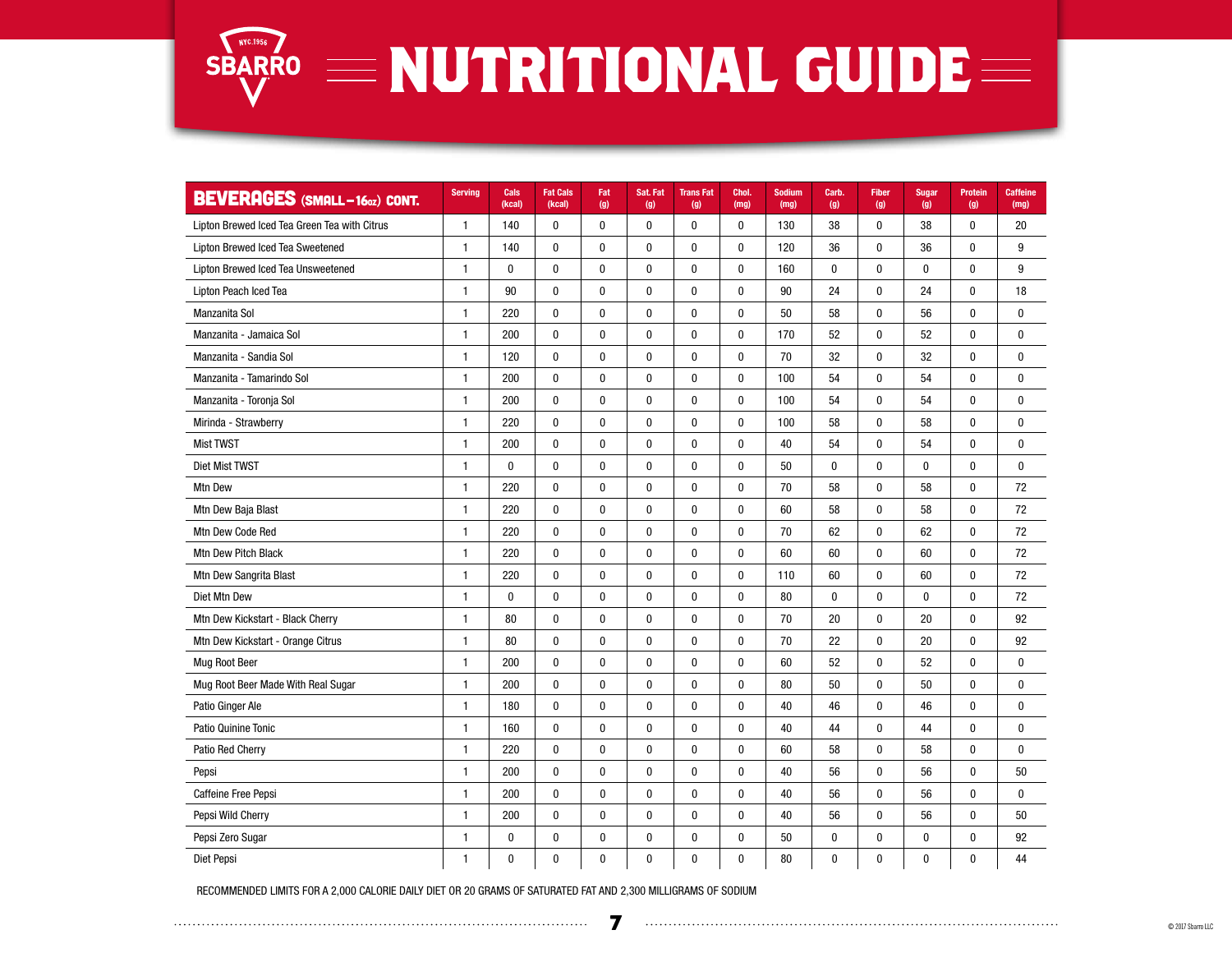

| <b>BEVERAGES (SMALL-160Z) CONT.</b>          | <b>Serving</b> | Cals<br>(kcal) | <b>Fat Cals</b><br>(kcal) | Fat<br>(g)   | Sat. Fat<br>(g) | <b>TransFat</b><br>(g) | Chol.<br>(mg) | <b>Sodium</b><br>(mg) | Carb.<br>(g) | <b>Fiber</b><br>(g) | <b>Sugar</b><br>(g) | <b>Protein</b><br>(g) | <b>Caffeine</b><br>(mg) |
|----------------------------------------------|----------------|----------------|---------------------------|--------------|-----------------|------------------------|---------------|-----------------------|--------------|---------------------|---------------------|-----------------------|-------------------------|
| Lipton Brewed Iced Tea Green Tea with Citrus | 1              | 140            | $\pmb{0}$                 | $\bf{0}$     | 0               | $\pmb{0}$              | $\bf{0}$      | 130                   | 38           | 0                   | 38                  | $\mathbf{0}$          | 20                      |
| Lipton Brewed Iced Tea Sweetened             | $\mathbf{1}$   | 140            | $\mathbf 0$               | $\mathbf 0$  | 0               | $\mathbf{0}$           | $\mathbf 0$   | 120                   | 36           | $\mathbf 0$         | 36                  | $\mathbf{0}$          | 9                       |
| Lipton Brewed Iced Tea Unsweetened           | 1              | $\bf{0}$       | $\pmb{0}$                 | $\pmb{0}$    | $\pmb{0}$       | $\pmb{0}$              | $\pmb{0}$     | 160                   | 0            | $\pmb{0}$           | 0                   | $\mathbf{0}$          | 9                       |
| Lipton Peach Iced Tea                        | $\mathbf{1}$   | 90             | $\mathbf 0$               | $\mathbf 0$  | 0               | $\mathbf 0$            | $\mathbf 0$   | 90                    | 24           | $\mathbf{0}$        | 24                  | $\mathbf{0}$          | 18                      |
| Manzanita Sol                                | 1              | 220            | 0                         | $\pmb{0}$    | 0               | $\boldsymbol{0}$       | $\pmb{0}$     | 50                    | 58           | 0                   | 56                  | $\mathbf{0}$          | 0                       |
| Manzanita - Jamaica Sol                      | $\mathbf{1}$   | 200            | $\pmb{0}$                 | $\pmb{0}$    | $\pmb{0}$       | $\pmb{0}$              | 0             | 170                   | 52           | $\pmb{0}$           | 52                  | $\mathbf{0}$          | $\mathbf 0$             |
| Manzanita - Sandia Sol                       | $\mathbf{1}$   | 120            | $\mathbf{0}$              | $\mathbf{0}$ | 0               | $\mathbf 0$            | $\mathbf 0$   | 70                    | 32           | $\mathbf{0}$        | 32                  | $\mathbf{0}$          | $\bf{0}$                |
| Manzanita - Tamarindo Sol                    | 1              | 200            | $\pmb{0}$                 | $\bf{0}$     | 0               | $\bf{0}$               | 0             | 100                   | 54           | 0                   | 54                  | $\mathbf{0}$          | $\bf{0}$                |
| Manzanita - Toronja Sol                      | $\mathbf{1}$   | 200            | $\pmb{0}$                 | $\pmb{0}$    | $\pmb{0}$       | $\pmb{0}$              | $\pmb{0}$     | 100                   | 54           | 0                   | 54                  | $\mathbf{0}$          | $\bf{0}$                |
| Mirinda - Strawberry                         | $\mathbf{1}$   | 220            | $\mathbf 0$               | $\mathbf{0}$ | 0               | $\mathbf 0$            | 0             | 100                   | 58           | $\mathbf{0}$        | 58                  | $\mathbf{0}$          | $\bf{0}$                |
| <b>Mist TWST</b>                             | 1              | 200            | 0                         | $\bf{0}$     | $\pmb{0}$       | $\bf{0}$               | $\pmb{0}$     | 40                    | 54           | 0                   | 54                  | $\bf{0}$              | $\bf{0}$                |
| Diet Mist TWST                               | $\mathbf{1}$   | $\mathbf 0$    | $\mathbf 0$               | $\mathbf 0$  | 0               | $\mathbf 0$            | 0             | 50                    | $\mathbf 0$  | $\mathbf 0$         | $\mathbf 0$         | $\mathbf 0$           | $\mathbf 0$             |
| Mtn Dew                                      | 1              | 220            | 0                         | $\bf{0}$     | 0               | $\bf{0}$               | $\bf{0}$      | 70                    | 58           | 0                   | 58                  | $\mathbf{0}$          | 72                      |
| Mtn Dew Baja Blast                           | $\mathbf{1}$   | 220            | 0                         | 0            | 0               | $\bf{0}$               | $\bf{0}$      | 60                    | 58           | 0                   | 58                  | $\mathbf{0}$          | 72                      |
| Mtn Dew Code Red                             | $\mathbf{1}$   | 220            | $\mathbf{0}$              | $\bf{0}$     | 0               | $\mathbf 0$            | $\mathbf 0$   | 70                    | 62           | $\mathbf{0}$        | 62                  | $\mathbf{0}$          | 72                      |
| Mtn Dew Pitch Black                          | 1              | 220            | 0                         | $\pmb{0}$    | 0               | $\bf{0}$               | 0             | 60                    | 60           | 0                   | 60                  | 0                     | 72                      |
| Mtn Dew Sangrita Blast                       | $\mathbf{1}$   | 220            | $\pmb{0}$                 | $\pmb{0}$    | $\pmb{0}$       | $\pmb{0}$              | $\pmb{0}$     | 110                   | 60           | $\pmb{0}$           | 60                  | $\pmb{0}$             | 72                      |
| Diet Mtn Dew                                 | $\mathbf{1}$   | $\mathbf{0}$   | $\mathbf 0$               | $\mathbf 0$  | $\bf{0}$        | $\mathbf{0}$           | 0             | 80                    | $\bf{0}$     | $\mathbf 0$         | $\mathbf{0}$        | $\mathbf{0}$          | 72                      |
| Mtn Dew Kickstart - Black Cherry             | $\mathbf{1}$   | 80             | $\pmb{0}$                 | 0            | $\pmb{0}$       | $\bf{0}$               | $\pmb{0}$     | 70                    | 20           | 0                   | 20                  | 0                     | 92                      |
| Mtn Dew Kickstart - Orange Citrus            | $\mathbf{1}$   | 80             | $\mathbf 0$               | $\mathbf 0$  | $\bf{0}$        | $\mathbf 0$            | $\mathbf 0$   | 70                    | 22           | $\mathbf 0$         | 20                  | $\mathbf 0$           | 92                      |
| <b>Mug Root Beer</b>                         | $\mathbf{1}$   | 200            | $\mathbf{0}$              | 0            | 0               | $\mathbf{0}$           | 0             | 60                    | 52           | $\mathbf{0}$        | 52                  | $\mathbf 0$           | $\bf{0}$                |
| Mug Root Beer Made With Real Sugar           | $\mathbf{1}$   | 200            | $\bf{0}$                  | 0            | 0               | $\bf{0}$               | $\bf{0}$      | 80                    | 50           | 0                   | 50                  | $\mathbf{0}$          | $\bf{0}$                |
| Patio Ginger Ale                             | $\mathbf{1}$   | 180            | $\mathbf 0$               | $\mathbf 0$  | $\pmb{0}$       | $\mathbf 0$            | 0             | 40                    | 46           | $\mathbf 0$         | 46                  | $\mathbf 0$           | $\mathbf{0}$            |
| Patio Quinine Tonic                          | $\mathbf{1}$   | 160            | 0                         | 0            | 0               | $\bf{0}$               | $\bf{0}$      | 40                    | 44           | 0                   | 44                  | 0                     | $\bf{0}$                |
| Patio Red Cherry                             | $\mathbf{1}$   | 220            | $\pmb{0}$                 | $\pmb{0}$    | $\pmb{0}$       | $\bf{0}$               | 0             | 60                    | 58           | 0                   | 58                  | $\mathbf{0}$          | $\bf{0}$                |
| Pepsi                                        | $\mathbf{1}$   | 200            | $\bf{0}$                  | 0            | 0               | $\mathbf{0}$           | $\bf{0}$      | 40                    | 56           | $\mathbf{0}$        | 56                  | $\mathbf{0}$          | 50                      |
| Caffeine Free Pepsi                          | $\mathbf{1}$   | 200            | $\pmb{0}$                 | 0            | $\pmb{0}$       | $\bf{0}$               | 0             | 40                    | 56           | $\pmb{0}$           | 56                  | $\pmb{0}$             | $\bf{0}$                |
| Pepsi Wild Cherry                            | $\mathbf{1}$   | 200            | $\pmb{0}$                 | $\pmb{0}$    | 0               | $\pmb{0}$              | 0             | 40                    | 56           | 0                   | 56                  | $\mathbf{0}$          | 50                      |
| Pepsi Zero Sugar                             | $\mathbf{1}$   | $\pmb{0}$      | $\pmb{0}$                 | 0            | $\pmb{0}$       | $\bf{0}$               | 0             | 50                    | $\pmb{0}$    | $\pmb{0}$           | $\pmb{0}$           | $\mathbf{0}$          | 92                      |
| Diet Pepsi                                   | $\mathbf{1}$   | 0              | 0                         | 0            | 0               | 0                      | 0             | 80                    | $\pmb{0}$    | 0                   | $\pmb{0}$           | 0                     | 44                      |

RECOMMENDED LIMITS FOR A 2,000 CALORIE DAILY DIET OR 20 GRAMS OF SATURATED FAT AND 2,300 MILLIGRAMS OF SODIUM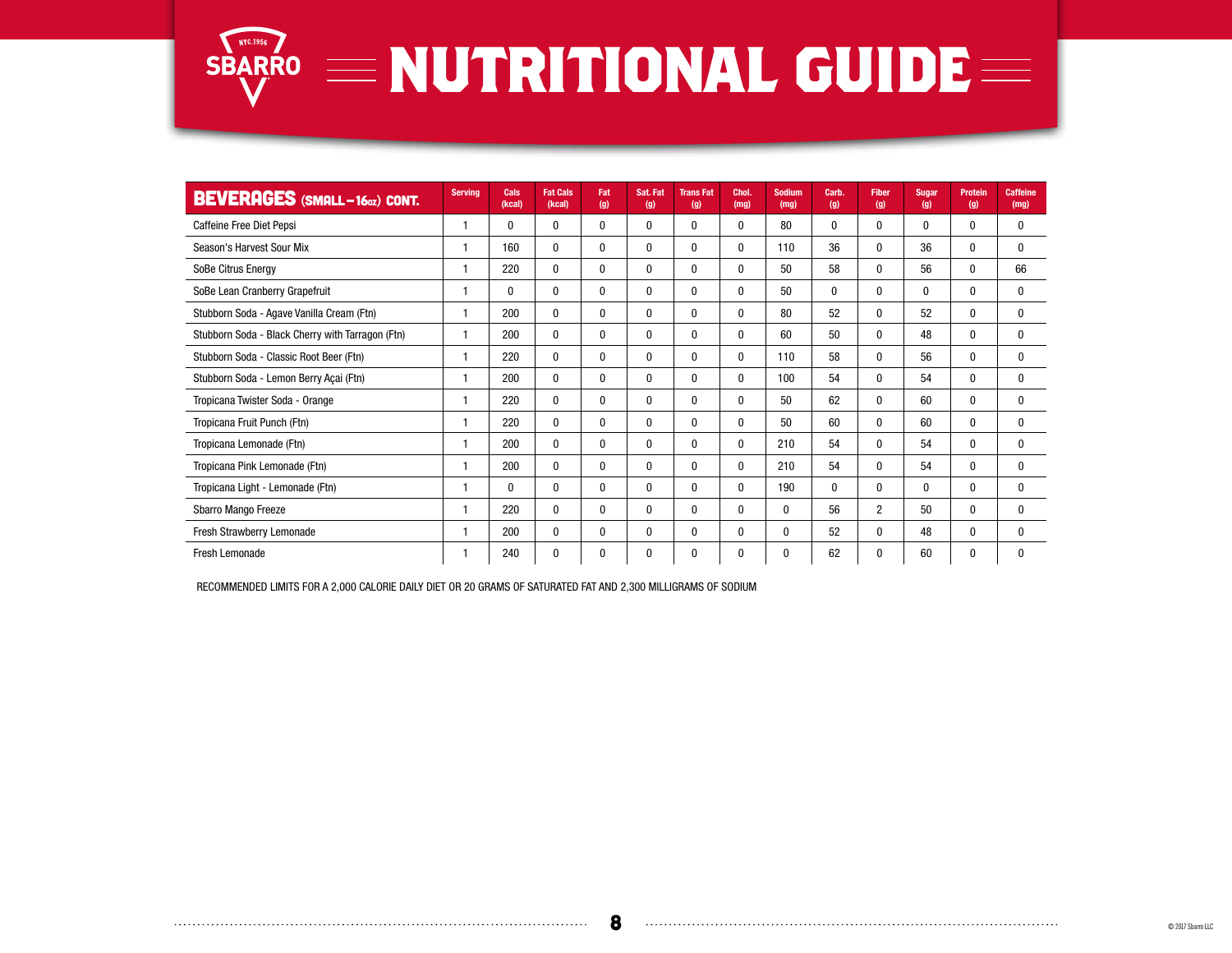

| <b>BEVERAGES</b> (SMALL-160Z) CONT.              | <b>Serving</b> | Cals<br>(kcal) | <b>Fat Cals</b><br>(kcal) | Fat<br>(g)   | Sat. Fat<br>(g) | <b>TransFat</b><br>(g) | Chol.<br>(mg)    | <b>Sodium</b><br>(mg) | Carb.<br>(g) | <b>Fiber</b><br>(g) | <b>Sugar</b><br>(g) | <b>Protein</b><br>(g) | <b>Caffeine</b><br>(mg) |
|--------------------------------------------------|----------------|----------------|---------------------------|--------------|-----------------|------------------------|------------------|-----------------------|--------------|---------------------|---------------------|-----------------------|-------------------------|
| Caffeine Free Diet Pepsi                         | 1              | $\bf{0}$       | 0                         | $\mathbf 0$  | 0               | $\boldsymbol{0}$       | $\bf{0}$         | 80                    | 0            | 0                   | 0                   | $\bf{0}$              | 0                       |
| Season's Harvest Sour Mix                        | 1              | 160            | 0                         | $\mathbf 0$  | 0               | $\boldsymbol{0}$       | $\bf{0}$         | 110                   | 36           | 0                   | 36                  | $\bf{0}$              | $\mathbf{0}$            |
| SoBe Citrus Energy                               | 1              | 220            | 0                         | $\mathbf 0$  | 0               | $\boldsymbol{0}$       | $\boldsymbol{0}$ | 50                    | 58           | 0                   | 56                  | $\bf{0}$              | 66                      |
| SoBe Lean Cranberry Grapefruit                   | 1              | 0              | 0                         | $\mathbf 0$  | 0               | $\boldsymbol{0}$       | $\boldsymbol{0}$ | 50                    | 0            | 0                   | $\mathbf{0}$        | $\mathbf{0}$          | 0                       |
| Stubborn Soda - Agave Vanilla Cream (Ftn)        | 1              | 200            | 0                         | $\mathbf 0$  | 0               | $\boldsymbol{0}$       | $\boldsymbol{0}$ | 80                    | 52           | 0                   | 52                  | $\bf{0}$              | 0                       |
| Stubborn Soda - Black Cherry with Tarragon (Ftn) | 1              | 200            | 0                         | $\mathbf 0$  | $\mathbf{0}$    | 0                      | 0                | 60                    | 50           | 0                   | 48                  | $\mathbf{0}$          | 0                       |
| Stubborn Soda - Classic Root Beer (Ftn)          | 1              | 220            | 0                         | $\mathbf{0}$ | 0               | $\mathbf 0$            | $\mathbf 0$      | 110                   | 58           | 0                   | 56                  | $\mathbf{0}$          | 0                       |
| Stubborn Soda - Lemon Berry Açai (Ftn)           | 1              | 200            | 0                         | $\mathbf 0$  | $\mathbf{0}$    | 0                      | 0                | 100                   | 54           | 0                   | 54                  | $\mathbf{0}$          | $\mathbf{0}$            |
| Tropicana Twister Soda - Orange                  | 1              | 220            | 0                         | $\mathbf 0$  | $\mathbf{0}$    | 0                      | 0                | 50                    | 62           | 0                   | 60                  | $\mathbf{0}$          | $\mathbf{0}$            |
| Tropicana Fruit Punch (Ftn)                      | 1              | 220            | $\mathbf{0}$              | $\mathbf 0$  | $\mathbf{0}$    | 0                      | $\bf{0}$         | 50                    | 60           | 0                   | 60                  | $\mathbf{0}$          | $\mathbf{0}$            |
| Tropicana Lemonade (Ftn)                         | 1              | 200            | 0                         | $\mathbf 0$  | 0               | 0                      | 0                | 210                   | 54           | 0                   | 54                  | $\mathbf{0}$          | $\mathbf{0}$            |
| Tropicana Pink Lemonade (Ftn)                    | 1              | 200            | 0                         | $\mathbf 0$  | 0               | 0                      | $\bf{0}$         | 210                   | 54           | 0                   | 54                  | $\bf{0}$              | 0                       |
| Tropicana Light - Lemonade (Ftn)                 | 1              | 0              | 0                         | 0            | 0               | $\bf{0}$               | 0                | 190                   | $\mathbf{0}$ | 0                   | 0                   | $\mathbf{0}$          | $\mathbf{0}$            |
| Sbarro Mango Freeze                              | 1              | 220            | $\bf{0}$                  | $\bf{0}$     | 0               | $\bf{0}$               | $\bf{0}$         | $\mathbf 0$           | 56           | $\overline{2}$      | 50                  | $\mathbf{0}$          | 0                       |
| Fresh Strawberry Lemonade                        | 1              | 200            | 0                         | $\bf{0}$     | 0               | $\bf{0}$               | 0                | $\mathbf 0$           | 52           | 0                   | 48                  | $\mathbf 0$           | $\bf{0}$                |
| <b>Fresh Lemonade</b>                            | 1              | 240            | 0                         | 0            | 0               | 0                      | 0                | 0                     | 62           | 0                   | 60                  | 0                     | 0                       |

RECOMMENDED LIMITS FOR A 2,000 CALORIE DAILY DIET OR 20 GRAMS OF SATURATED FAT AND 2,300 MILLIGRAMS OF SODIUM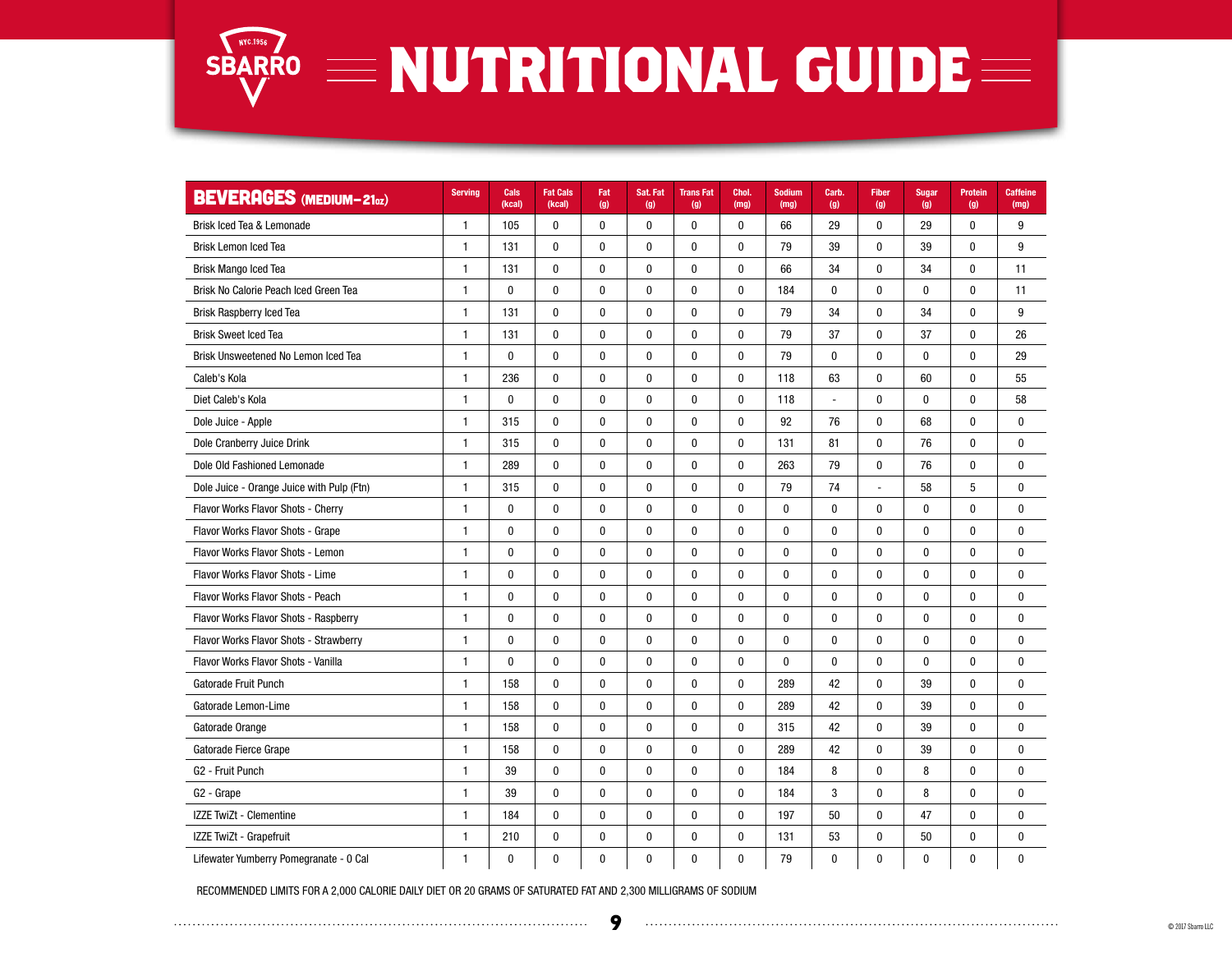

#### SBARRO **NUTRITIONAL GUIDE**

| <b>BEVERAGES</b> (MEDIUM-210z)            | <b>Serving</b> | Cals<br>(kcal) | <b>Fat Cals</b><br>(kcal) | Fat<br>(g)   | Sat. Fat<br>(g) | <b>TransFat</b><br>(g) | Chol.<br>(mg) | <b>Sodium</b><br>(mg) | Carb.<br>(g) | <b>Fiber</b><br>(g) | <b>Sugar</b><br>(g) | Protein<br>(g) | <b>Caffeine</b><br>(mg) |
|-------------------------------------------|----------------|----------------|---------------------------|--------------|-----------------|------------------------|---------------|-----------------------|--------------|---------------------|---------------------|----------------|-------------------------|
| Brisk Iced Tea & Lemonade                 | $\mathbf{1}$   | 105            | 0                         | 0            | 0               | 0                      | 0             | 66                    | 29           | 0                   | 29                  | 0              | 9                       |
| <b>Brisk Lemon Iced Tea</b>               | $\mathbf{1}$   | 131            | $\mathbf 0$               | $\mathbf 0$  | 0               | $\bf{0}$               | $\bf{0}$      | 79                    | 39           | $\mathbf 0$         | 39                  | $\mathbf{0}$   | 9                       |
| <b>Brisk Mango Iced Tea</b>               | $\mathbf{1}$   | 131            | $\mathbf 0$               | $\mathbf{0}$ | 0               | $\bf{0}$               | 0             | 66                    | 34           | $\mathbf 0$         | 34                  | $\mathbf{0}$   | 11                      |
| Brisk No Calorie Peach Iced Green Tea     | $\mathbf{1}$   | $\bf{0}$       | 0                         | $\bf{0}$     | 0               | $\bf{0}$               | 0             | 184                   | $\bf{0}$     | $\bf{0}$            | $\bf{0}$            | $\pmb{0}$      | 11                      |
| <b>Brisk Raspberry Iced Tea</b>           | $\mathbf{1}$   | 131            | 0                         | 0            | 0               | 0                      | 0             | 79                    | 34           | $\mathbf 0$         | 34                  | $\mathbf{0}$   | 9                       |
| <b>Brisk Sweet Iced Tea</b>               | $\mathbf{1}$   | 131            | $\pmb{0}$                 | $\pmb{0}$    | $\pmb{0}$       | $\pmb{0}$              | $\pmb{0}$     | 79                    | 37           | $\mathbf{0}$        | 37                  | $\mathbf{0}$   | 26                      |
| Brisk Unsweetened No Lemon Iced Tea       | $\mathbf{1}$   | $\mathbf{0}$   | $\mathbf{0}$              | $\mathbf{0}$ | 0               | $\mathbf{0}$           | 0             | 79                    | $\bf{0}$     | $\mathbf{0}$        | $\mathbf{0}$        | $\mathbf{0}$   | 29                      |
| Caleb's Kola                              | $\mathbf{1}$   | 236            | $\pmb{0}$                 | $\bf{0}$     | $\pmb{0}$       | 0                      | $\pmb{0}$     | 118                   | 63           | 0                   | 60                  | $\bf{0}$       | 55                      |
| Diet Caleb's Kola                         | $\mathbf{1}$   | $\bf{0}$       | 0                         | $\bf{0}$     | 0               | $\bf{0}$               | 0             | 118                   | L,           | $\bf{0}$            | $\bf{0}$            | $\mathbf{0}$   | 58                      |
| Dole Juice - Apple                        | $\mathbf{1}$   | 315            | $\pmb{0}$                 | $\mathbf 0$  | 0               | $\mathbf 0$            | $\mathbf 0$   | 92                    | 76           | $\mathbf 0$         | 68                  | $\mathbf{0}$   | $\mathbf 0$             |
| Dole Cranberry Juice Drink                | $\mathbf{1}$   | 315            | $\pmb{0}$                 | $\bf{0}$     | $\pmb{0}$       | $\bf{0}$               | 0             | 131                   | 81           | $\mathbf{0}$        | 76                  | $\mathbf{0}$   | 0                       |
| Dole Old Fashioned Lemonade               | $\mathbf{1}$   | 289            | $\mathbf 0$               | $\mathbf 0$  | 0               | $\mathbf 0$            | $\mathbf 0$   | 263                   | 79           | $\mathbf 0$         | 76                  | $\mathbf{0}$   | $\mathbf{0}$            |
| Dole Juice - Orange Juice with Pulp (Ftn) | $\mathbf{1}$   | 315            | 0                         | $\bf{0}$     | 0               | $\pmb{0}$              | 0             | 79                    | 74           | Ĭ.                  | 58                  | 5              | $\mathbf{0}$            |
| Flavor Works Flavor Shots - Cherry        | $\mathbf{1}$   | $\pmb{0}$      | 0                         | 0            | 0               | $\pmb{0}$              | $\pmb{0}$     | $\bf{0}$              | $\mathbf{0}$ | 0                   | $\mathbf{0}$        | $\mathbf{0}$   | $\mathbf{0}$            |
| Flavor Works Flavor Shots - Grape         | $\mathbf{1}$   | $\mathbf{0}$   | $\mathbf{0}$              | $\mathbf{0}$ | 0               | $\bf{0}$               | $\mathbf{0}$  | $\mathbf{0}$          | $\bf{0}$     | $\mathbf{0}$        | $\mathbf{0}$        | 0              | $\mathbf{0}$            |
| Flavor Works Flavor Shots - Lemon         | $\mathbf{1}$   | $\pmb{0}$      | $\mathbf{0}$              | 0            | 0               | $\bf{0}$               | $\pmb{0}$     | 0                     | $\bf{0}$     | $\mathbf{0}$        | $\mathbf{0}$        | $\mathbf{0}$   | $\mathbf{0}$            |
| Flavor Works Flavor Shots - Lime          | $\mathbf{1}$   | $\pmb{0}$      | $\pmb{0}$                 | $\pmb{0}$    | $\pmb{0}$       | $\pmb{0}$              | $\pmb{0}$     | $\pmb{0}$             | $\pmb{0}$    | $\pmb{0}$           | $\pmb{0}$           | $\pmb{0}$      | $\mathbf{0}$            |
| Flavor Works Flavor Shots - Peach         | $\mathbf{1}$   | $\mathbf 0$    | $\mathbf 0$               | $\mathbf 0$  | $\pmb{0}$       | $\mathbf{0}$           | $\pmb{0}$     | 0                     | $\bf{0}$     | $\mathbf 0$         | $\mathbf 0$         | $\mathbf{0}$   | $\mathbf{0}$            |
| Flavor Works Flavor Shots - Raspberry     | $\mathbf{1}$   | $\mathbf 0$    | $\pmb{0}$                 | $\pmb{0}$    | 0               | $\pmb{0}$              | $\pmb{0}$     | $\pmb{0}$             | $\mathbf{0}$ | $\mathbf 0$         | $\mathbf{0}$        | $\mathbf{0}$   | $\mathbf{0}$            |
| Flavor Works Flavor Shots - Strawberry    | $\mathbf{1}$   | $\mathbf{0}$   | $\mathbf{0}$              | $\mathbf{0}$ | 0               | $\bf{0}$               | $\mathbf{0}$  | $\mathbf{0}$          | $\bf{0}$     | $\mathbf{0}$        | $\mathbf{0}$        | $\mathbf{0}$   | $\mathbf{0}$            |
| Flavor Works Flavor Shots - Vanilla       | 1              | 0              | $\pmb{0}$                 | 0            | 0               | $\pmb{0}$              | $\pmb{0}$     | 0                     | $\pmb{0}$    | $\pmb{0}$           | $\bf{0}$            | 0              | $\mathbf{0}$            |
| Gatorade Fruit Punch                      | $\mathbf{1}$   | 158            | $\bf{0}$                  | $\bf{0}$     | 0               | $\pmb{0}$              | 0             | 289                   | 42           | $\pmb{0}$           | 39                  | 0              | $\mathbf{0}$            |
| Gatorade Lemon-Lime                       | $\mathbf{1}$   | 158            | $\mathbf 0$               | $\mathbf 0$  | $\mathbf 0$     | $\mathbf{0}$           | $\mathbf{0}$  | 289                   | 42           | $\mathbf 0$         | 39                  | $\mathbf{0}$   | $\bf{0}$                |
| Gatorade Orange                           | $\mathbf{1}$   | 158            | $\bf{0}$                  | $\bf{0}$     | 0               | $\bf{0}$               | $\mathbf{0}$  | 315                   | 42           | $\mathbf{0}$        | 39                  | 0              | $\mathbf{0}$            |
| Gatorade Fierce Grape                     | $\mathbf{1}$   | 158            | $\pmb{0}$                 | $\pmb{0}$    | $\pmb{0}$       | $\pmb{0}$              | $\pmb{0}$     | 289                   | 42           | $\pmb{0}$           | 39                  | $\mathbf{0}$   | $\mathbf{0}$            |
| G <sub>2</sub> - Fruit Punch              | $\mathbf{1}$   | 39             | $\pmb{0}$                 | 0            | $\pmb{0}$       | $\pmb{0}$              | $\pmb{0}$     | 184                   | 8            | $\mathbf 0$         | 8                   | $\mathbf{0}$   | $\mathbf{0}$            |
| G <sub>2</sub> - Grape                    | $\mathbf{1}$   | 39             | $\bf{0}$                  | 0            | $\pmb{0}$       | $\bf{0}$               | $\pmb{0}$     | 184                   | 3            | $\mathbf 0$         | 8                   | $\mathbf{0}$   | $\mathbf{0}$            |
| IZZE TwiZt - Clementine                   | $\mathbf{1}$   | 184            | $\mathbf 0$               | $\mathbf 0$  | $\pmb{0}$       | $\mathbf{0}$           | $\mathbf{0}$  | 197                   | 50           | $\mathbf 0$         | 47                  | $\mathbf{0}$   | $\mathbf{0}$            |
| IZZE TwiZt - Grapefruit                   | $\mathbf{1}$   | 210            | $\bf{0}$                  | 0            | 0               | $\pmb{0}$              | $\mathbf 0$   | 131                   | 53           | $\mathbf{0}$        | 50                  | $\mathbf{0}$   | $\mathbf{0}$            |
| Lifewater Yumberry Pomegranate - 0 Cal    | $\mathbf{1}$   | $\mathbf 0$    | $\mathbf 0$               | $\mathbf 0$  | $\mathbf 0$     | $\mathbf{0}$           | $\mathbf{0}$  | 79                    | $\mathbf{0}$ | $\mathbf 0$         | $\mathbf{0}$        | $\mathbf{0}$   | 0                       |

RECOMMENDED LIMITS FOR A 2,000 CALORIE DAILY DIET OR 20 GRAMS OF SATURATED FAT AND 2,300 MILLIGRAMS OF SODIUM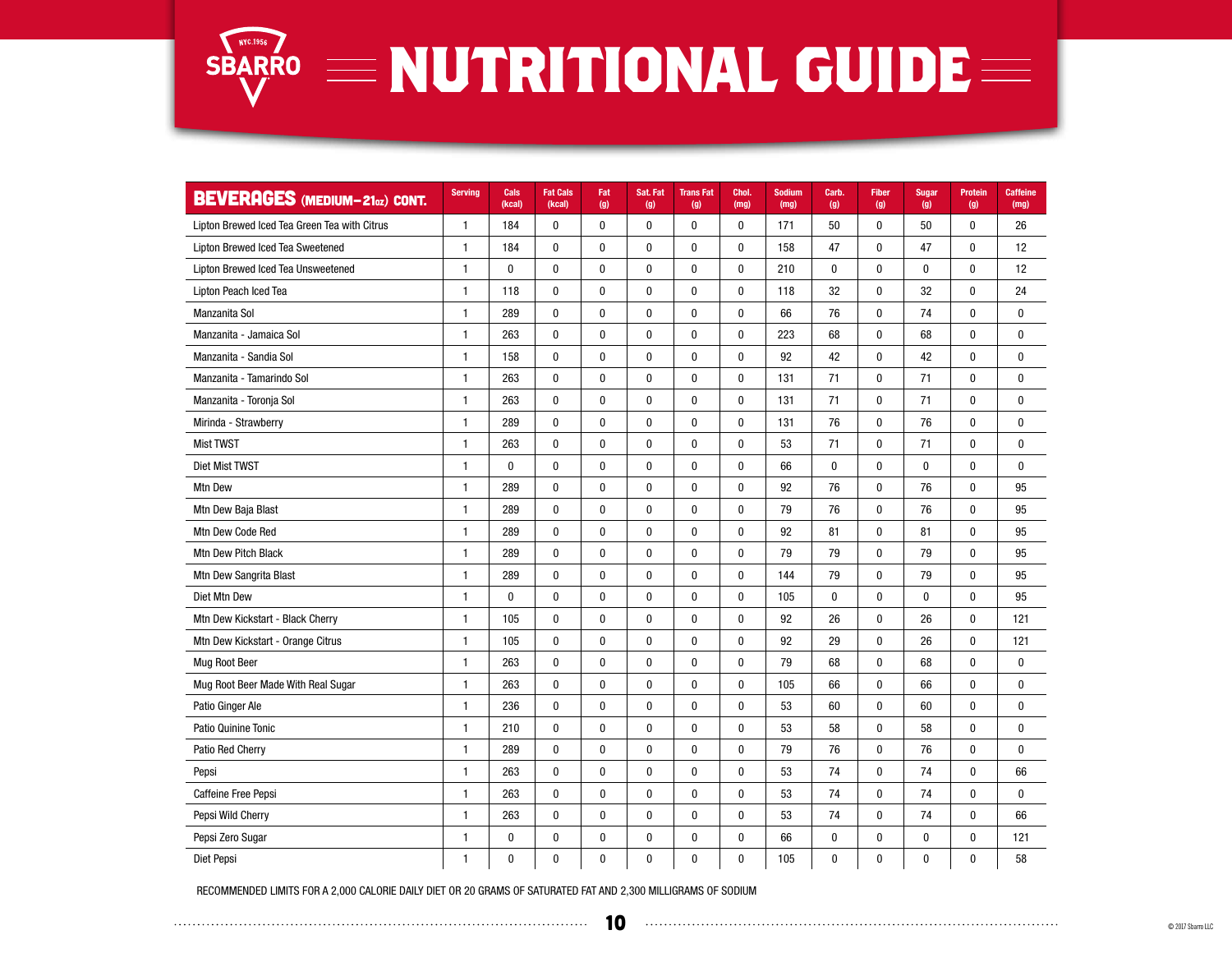

| <b>BEVERAGES</b> (MEDIUM-210z) CONT.         | <b>Serving</b> | Cals<br>(kcal) | <b>Fat Cals</b><br>(kcal) | Fat<br>(g)   | Sat. Fat<br>(g) | <b>TransFat</b><br>(g) | Chol.<br>(mg) | <b>Sodium</b><br>(mg) | Carb.<br>(g) | <b>Fiber</b><br>(g) | <b>Sugar</b><br>(g) | <b>Protein</b><br>(g) | <b>Caffeine</b><br>(mg) |
|----------------------------------------------|----------------|----------------|---------------------------|--------------|-----------------|------------------------|---------------|-----------------------|--------------|---------------------|---------------------|-----------------------|-------------------------|
| Lipton Brewed Iced Tea Green Tea with Citrus | 1              | 184            | 0                         | $\bf{0}$     | 0               | $\pmb{0}$              | $\bf{0}$      | 171                   | 50           | 0                   | 50                  | $\mathbf 0$           | 26                      |
| Lipton Brewed Iced Tea Sweetened             | $\mathbf{1}$   | 184            | $\mathbf 0$               | $\mathbf 0$  | 0               | $\mathbf{0}$           | $\bf{0}$      | 158                   | 47           | $\mathbf{0}$        | 47                  | $\mathbf{0}$          | 12                      |
| Lipton Brewed Iced Tea Unsweetened           | 1              | $\bf{0}$       | $\pmb{0}$                 | $\pmb{0}$    | $\pmb{0}$       | $\pmb{0}$              | $\pmb{0}$     | 210                   | 0            | $\pmb{0}$           | $\pmb{0}$           | $\mathbf 0$           | 12                      |
| Lipton Peach Iced Tea                        | $\mathbf{1}$   | 118            | $\mathbf 0$               | $\mathbf 0$  | 0               | $\mathbf 0$            | $\bf{0}$      | 118                   | 32           | $\mathbf{0}$        | 32                  | $\mathbf{0}$          | 24                      |
| Manzanita Sol                                | 1              | 289            | 0                         | $\pmb{0}$    | 0               | $\boldsymbol{0}$       | $\pmb{0}$     | 66                    | 76           | 0                   | 74                  | $\mathbf{0}$          | 0                       |
| Manzanita - Jamaica Sol                      | $\mathbf{1}$   | 263            | $\pmb{0}$                 | $\pmb{0}$    | $\pmb{0}$       | $\pmb{0}$              | 0             | 223                   | 68           | $\pmb{0}$           | 68                  | $\mathbf{0}$          | $\mathbf 0$             |
| Manzanita - Sandia Sol                       | $\mathbf{1}$   | 158            | $\mathbf{0}$              | $\mathbf{0}$ | 0               | $\mathbf 0$            | $\mathbf{0}$  | 92                    | 42           | $\mathbf{0}$        | 42                  | $\mathbf{0}$          | $\mathbf{0}$            |
| Manzanita - Tamarindo Sol                    | 1              | 263            | $\pmb{0}$                 | $\bf{0}$     | 0               | $\bf{0}$               | 0             | 131                   | 71           | 0                   | 71                  | $\mathbf{0}$          | $\mathbf{0}$            |
| Manzanita - Toronja Sol                      | $\mathbf{1}$   | 263            | $\pmb{0}$                 | $\pmb{0}$    | $\pmb{0}$       | $\pmb{0}$              | $\pmb{0}$     | 131                   | 71           | 0                   | 71                  | $\mathbf{0}$          | $\bf{0}$                |
| Mirinda - Strawberry                         | $\mathbf{1}$   | 289            | $\mathbf 0$               | $\mathbf{0}$ | 0               | $\mathbf 0$            | 0             | 131                   | 76           | $\mathbf{0}$        | 76                  | $\mathbf{0}$          | $\bf{0}$                |
| <b>Mist TWST</b>                             | 1              | 263            | 0                         | $\bf{0}$     | $\pmb{0}$       | $\bf{0}$               | $\pmb{0}$     | 53                    | 71           | 0                   | 71                  | $\bf{0}$              | $\bf{0}$                |
| Diet Mist TWST                               | $\mathbf{1}$   | $\mathbf 0$    | $\mathbf 0$               | $\mathbf 0$  | 0               | $\mathbf 0$            | $\mathbf{0}$  | 66                    | $\mathbf 0$  | $\mathbf 0$         | $\mathbf 0$         | $\mathbf 0$           | $\mathbf 0$             |
| Mtn Dew                                      | 1              | 289            | 0                         | $\bf{0}$     | 0               | $\bf{0}$               | $\bf{0}$      | 92                    | 76           | 0                   | 76                  | $\mathbf{0}$          | 95                      |
| Mtn Dew Baja Blast                           | $\mathbf{1}$   | 289            | 0                         | 0            | 0               | $\bf{0}$               | $\bf{0}$      | 79                    | 76           | 0                   | 76                  | $\mathbf{0}$          | 95                      |
| Mtn Dew Code Red                             | $\mathbf{1}$   | 289            | $\mathbf{0}$              | $\bf{0}$     | 0               | $\mathbf 0$            | $\mathbf{0}$  | 92                    | 81           | $\mathbf{0}$        | 81                  | $\mathbf{0}$          | 95                      |
| Mtn Dew Pitch Black                          | 1              | 289            | 0                         | $\pmb{0}$    | 0               | $\bf{0}$               | 0             | 79                    | 79           | 0                   | 79                  | 0                     | 95                      |
| Mtn Dew Sangrita Blast                       | $\mathbf{1}$   | 289            | $\pmb{0}$                 | $\pmb{0}$    | $\pmb{0}$       | $\pmb{0}$              | $\pmb{0}$     | 144                   | 79           | $\pmb{0}$           | 79                  | $\pmb{0}$             | 95                      |
| Diet Mtn Dew                                 | $\mathbf{1}$   | 0              | $\mathbf 0$               | $\mathbf 0$  | $\mathbf 0$     | $\mathbf{0}$           | 0             | 105                   | $\bf{0}$     | $\mathbf 0$         | $\mathbf{0}$        | $\mathbf{0}$          | 95                      |
| Mtn Dew Kickstart - Black Cherry             | $\mathbf{1}$   | 105            | 0                         | 0            | $\pmb{0}$       | $\bf{0}$               | $\pmb{0}$     | 92                    | 26           | 0                   | 26                  | 0                     | 121                     |
| Mtn Dew Kickstart - Orange Citrus            | $\mathbf{1}$   | 105            | $\mathbf 0$               | $\mathbf 0$  | $\mathbf 0$     | $\mathbf 0$            | $\mathbf 0$   | 92                    | 29           | $\mathbf 0$         | 26                  | $\mathbf{0}$          | 121                     |
| <b>Mug Root Beer</b>                         | $\mathbf{1}$   | 263            | $\mathbf{0}$              | 0            | 0               | $\mathbf{0}$           | 0             | 79                    | 68           | $\mathbf{0}$        | 68                  | $\mathbf{0}$          | $\bf{0}$                |
| Mug Root Beer Made With Real Sugar           | $\mathbf{1}$   | 263            | $\bf{0}$                  | 0            | 0               | $\bf{0}$               | $\bf{0}$      | 105                   | 66           | 0                   | 66                  | $\mathbf{0}$          | $\bf{0}$                |
| Patio Ginger Ale                             | $\mathbf{1}$   | 236            | $\mathbf 0$               | $\mathbf 0$  | $\pmb{0}$       | $\bf{0}$               | 0             | 53                    | 60           | $\mathbf 0$         | 60                  | $\mathbf 0$           | $\mathbf{0}$            |
| Patio Quinine Tonic                          | $\mathbf{1}$   | 210            | 0                         | 0            | 0               | $\bf{0}$               | $\bf{0}$      | 53                    | 58           | 0                   | 58                  | 0                     | $\bf{0}$                |
| Patio Red Cherry                             | $\mathbf{1}$   | 289            | $\pmb{0}$                 | $\pmb{0}$    | $\pmb{0}$       | $\bf{0}$               | 0             | 79                    | 76           | 0                   | 76                  | $\mathbf{0}$          | $\bf{0}$                |
| Pepsi                                        | $\mathbf{1}$   | 263            | $\bf{0}$                  | 0            | 0               | $\mathbf{0}$           | 0             | 53                    | 74           | $\mathbf{0}$        | 74                  | $\mathbf{0}$          | 66                      |
| Caffeine Free Pepsi                          | $\mathbf{1}$   | 263            | 0                         | 0            | $\pmb{0}$       | $\bf{0}$               | 0             | 53                    | 74           | $\pmb{0}$           | 74                  | $\pmb{0}$             | $\bf{0}$                |
| Pepsi Wild Cherry                            | $\mathbf{1}$   | 263            | $\pmb{0}$                 | $\pmb{0}$    | 0               | $\pmb{0}$              | 0             | 53                    | 74           | 0                   | 74                  | $\mathbf{0}$          | 66                      |
| Pepsi Zero Sugar                             | $\mathbf{1}$   | 0              | $\pmb{0}$                 | 0            | $\pmb{0}$       | $\bf{0}$               | 0             | 66                    | $\pmb{0}$    | 0                   | 0                   | $\mathbf{0}$          | 121                     |
| Diet Pepsi                                   | $\mathbf{1}$   | 0              | 0                         | 0            | 0               | 0                      | 0             | 105                   | $\pmb{0}$    | 0                   | 0                   | 0                     | 58                      |

RECOMMENDED LIMITS FOR A 2,000 CALORIE DAILY DIET OR 20 GRAMS OF SATURATED FAT AND 2,300 MILLIGRAMS OF SODIUM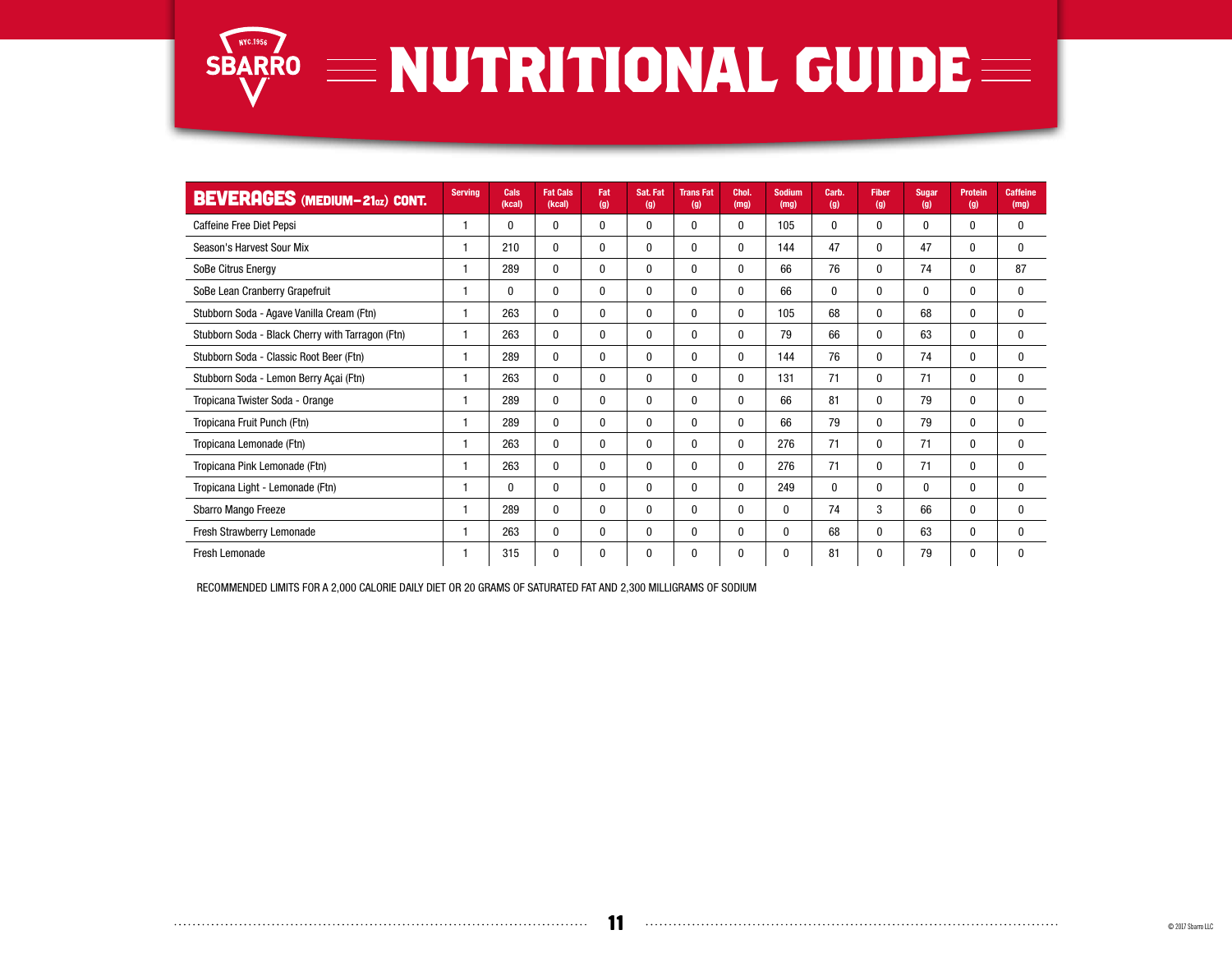

| <b>BEVERAGES</b> (MEDIUM-210z) CONT.             | <b>Serving</b> | Cals<br>(kcal) | <b>Fat Cals</b><br>(kcal) | Fat<br>(g)   | Sat. Fat<br>(g) | <b>TransFat</b><br>(g) | Chol.<br>(mg)    | <b>Sodium</b><br>(mg) | Carb.<br>(g) | <b>Fiber</b><br>(g) | <b>Sugar</b><br>(g) | <b>Protein</b><br>(g) | <b>Caffeine</b><br>(mg) |
|--------------------------------------------------|----------------|----------------|---------------------------|--------------|-----------------|------------------------|------------------|-----------------------|--------------|---------------------|---------------------|-----------------------|-------------------------|
| Caffeine Free Diet Pepsi                         | 1              | $\bf{0}$       | 0                         | $\mathbf 0$  | 0               | $\boldsymbol{0}$       | $\bf{0}$         | 105                   | 0            | 0                   | 0                   | $\mathbf{0}$          | 0                       |
| Season's Harvest Sour Mix                        | 1              | 210            | 0                         | $\mathbf 0$  | 0               | $\boldsymbol{0}$       | $\bf{0}$         | 144                   | 47           | 0                   | 47                  | $\mathbf{0}$          | $\mathbf{0}$            |
| SoBe Citrus Energy                               | 1              | 289            | 0                         | $\mathbf 0$  | $\mathbf{0}$    | $\boldsymbol{0}$       | $\boldsymbol{0}$ | 66                    | 76           | 0                   | 74                  | $\mathbf{0}$          | 87                      |
| SoBe Lean Cranberry Grapefruit                   | 1              | 0              | $\mathbf{0}$              | $\mathbf 0$  | $\mathbf{0}$    | $\boldsymbol{0}$       | $\boldsymbol{0}$ | 66                    | 0            | 0                   | 0                   | $\mathbf{0}$          | 0                       |
| Stubborn Soda - Agave Vanilla Cream (Ftn)        | 1              | 263            | $\mathbf{0}$              | $\mathbf 0$  | $\mathbf{0}$    | 0                      | 0                | 105                   | 68           | 0                   | 68                  | $\mathbf{0}$          | 0                       |
| Stubborn Soda - Black Cherry with Tarragon (Ftn) | 1              | 263            | 0                         | $\mathbf 0$  | 0               | 0                      | 0                | 79                    | 66           | 0                   | 63                  | $\bf{0}$              | 0                       |
| Stubborn Soda - Classic Root Beer (Ftn)          | 1              | 289            | 0                         | $\mathbf 0$  | $\mathbf{0}$    | 0                      | 0                | 144                   | 76           | 0                   | 74                  | $\bf{0}$              | 0                       |
| Stubborn Soda - Lemon Berry Açai (Ftn)           | 1              | 263            | $\mathbf{0}$              | $\mathbf{0}$ | $\mathbf{0}$    | 0                      | $\bf{0}$         | 131                   | 71           | 0                   | 71                  | $\mathbf{0}$          | $\mathbf{0}$            |
| Tropicana Twister Soda - Orange                  | 1              | 289            | 0                         | $\mathbf 0$  | $\mathbf{0}$    | 0                      | $\mathbf{0}$     | 66                    | 81           | 0                   | 79                  | $\mathbf{0}$          | $\mathbf{0}$            |
| Tropicana Fruit Punch (Ftn)                      | 1              | 289            | $\mathbf{0}$              | $\mathbf 0$  | $\mathbf{0}$    | $\mathbf{0}$           | $\mathbf{0}$     | 66                    | 79           | 0                   | 79                  | $\mathbf{0}$          | $\mathbf{0}$            |
| Tropicana Lemonade (Ftn)                         | 1              | 263            | $\mathbf{0}$              | $\mathbf{0}$ | $\mathbf{0}$    | $\mathbf{0}$           | 0                | 276                   | 71           | 0                   | 71                  | $\mathbf{0}$          | $\mathbf{0}$            |
| Tropicana Pink Lemonade (Ftn)                    | 1              | 263            | 0                         | $\mathbf 0$  | 0               | 0                      | 0                | 276                   | 71           | 0                   | 71                  | $\mathbf{0}$          | $\mathbf{0}$            |
| Tropicana Light - Lemonade (Ftn)                 | 1              | $\mathbf{0}$   | 0                         | $\bf{0}$     | 0               | $\bf{0}$               | 0                | 249                   | 0            | $\mathbf{0}$        | $\mathbf{0}$        | $\mathbf{0}$          | $\mathbf{0}$            |
| Sbarro Mango Freeze                              | 1              | 289            | $\bf{0}$                  | $\bf{0}$     | 0               | $\bf{0}$               | 0                | $\mathbf 0$           | 74           | 3                   | 66                  | $\mathbf{0}$          | 0                       |
| Fresh Strawberry Lemonade                        | 1              | 263            | $\bf{0}$                  | 0            | 0               | $\bf{0}$               | 0                | $\mathbf 0$           | 68           | 0                   | 63                  | $\mathbf{0}$          | $\bf{0}$                |
| Fresh Lemonade                                   | 1              | 315            | 0                         | 0            | 0               | 0                      | 0                | 0                     | 81           | 0                   | 79                  | 0                     | 0                       |

RECOMMENDED LIMITS FOR A 2,000 CALORIE DAILY DIET OR 20 GRAMS OF SATURATED FAT AND 2,300 MILLIGRAMS OF SODIUM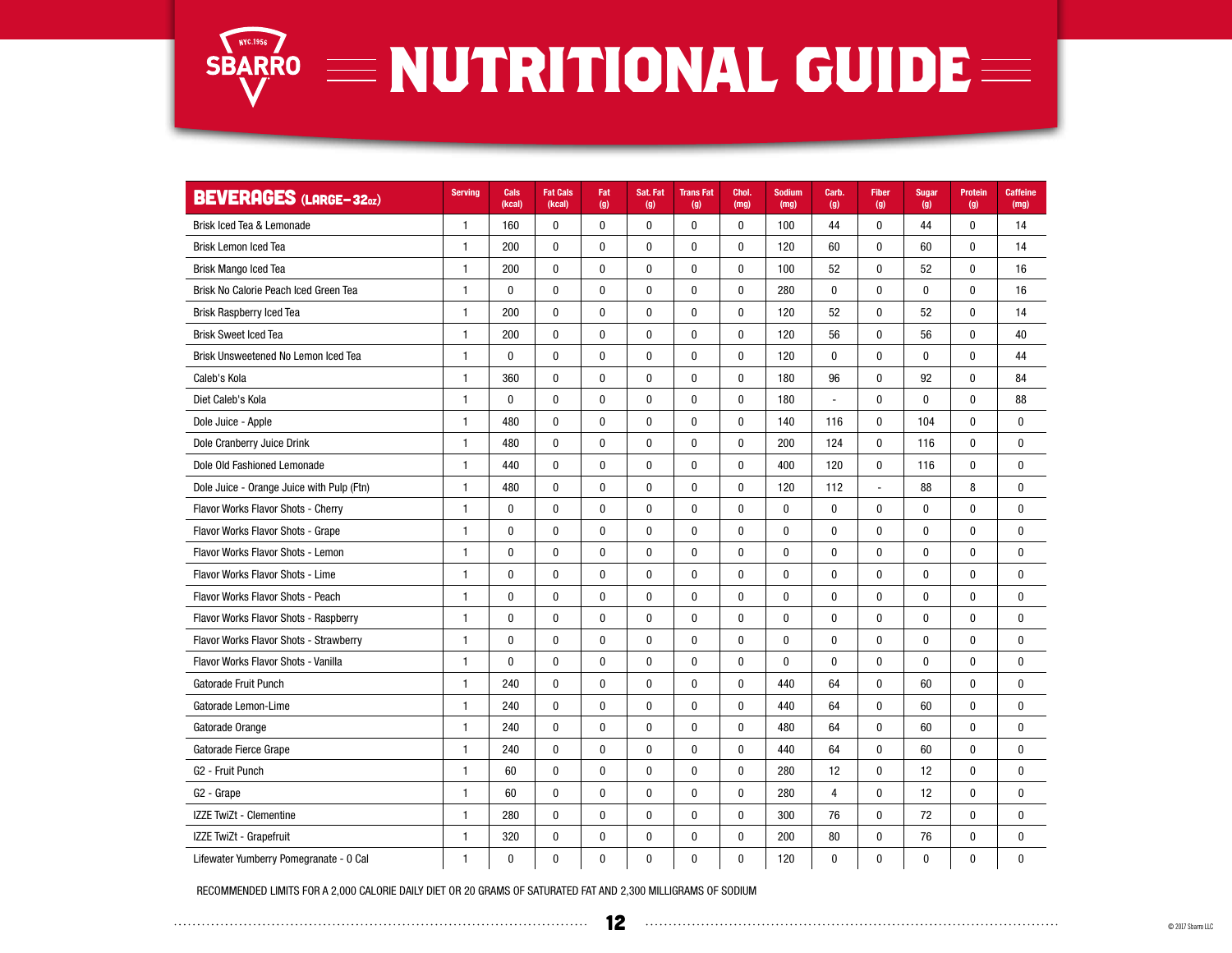

## SBARRO **NUTRITIONAL GUIDE**

| <b>BEVERAGES (LARGE-32oz)</b>             | <b>Serving</b> | Cals<br>(kcal) | <b>Fat Cals</b><br>(kcal) | Fat<br>(g)   | Sat. Fat<br>(g) | <b>TransFat</b><br>(g) | Chol.<br>(mg) | <b>Sodium</b><br>(mg) | Carb.<br>(g)   | <b>Fiber</b><br>(g) | <b>Sugar</b><br>(g) | <b>Protein</b><br>(g) | <b>Caffeine</b><br>(mg) |
|-------------------------------------------|----------------|----------------|---------------------------|--------------|-----------------|------------------------|---------------|-----------------------|----------------|---------------------|---------------------|-----------------------|-------------------------|
| Brisk Iced Tea & Lemonade                 | $\mathbf{1}$   | 160            | 0                         | 0            | 0               | 0                      | 0             | 100                   | 44             | $\mathbf{0}$        | 44                  | 0                     | 14                      |
| <b>Brisk Lemon Iced Tea</b>               | 1              | 200            | $\mathbf{0}$              | $\mathbf{0}$ | 0               | 0                      | 0             | 120                   | 60             | $\mathbf{0}$        | 60                  | $\mathbf{0}$          | 14                      |
| <b>Brisk Mango Iced Tea</b>               | $\mathbf{1}$   | 200            | 0                         | 0            | 0               | 0                      | 0             | 100                   | 52             | 0                   | 52                  | 0                     | 16                      |
| Brisk No Calorie Peach Iced Green Tea     | $\mathbf{1}$   | $\mathbf{0}$   | $\pmb{0}$                 | $\pmb{0}$    | 0               | $\pmb{0}$              | 0             | 280                   | $\pmb{0}$      | $\mathbf 0$         | $\mathbf{0}$        | 0                     | 16                      |
| Brisk Raspberry Iced Tea                  | $\mathbf{1}$   | 200            | $\mathbf{0}$              | $\mathbf{0}$ | 0               | $\bf{0}$               | $\bf{0}$      | 120                   | 52             | $\mathbf{0}$        | 52                  | $\mathbf{0}$          | 14                      |
| <b>Brisk Sweet Iced Tea</b>               | $\mathbf{1}$   | 200            | $\mathbf 0$               | $\mathbf{0}$ | 0               | $\mathbf 0$            | $\mathbf 0$   | 120                   | 56             | $\mathbf{0}$        | 56                  | 0                     | 40                      |
| Brisk Unsweetened No Lemon Iced Tea       | $\mathbf{1}$   | $\mathbf{0}$   | $\pmb{0}$                 | $\pmb{0}$    | 0               | $\pmb{0}$              | 0             | 120                   | $\bf{0}$       | $\mathbf 0$         | $\bf{0}$            | 0                     | 44                      |
| Caleb's Kola                              | $\mathbf{1}$   | 360            | $\pmb{0}$                 | $\pmb{0}$    | 0               | $\mathbf 0$            | $\pmb{0}$     | 180                   | 96             | $\mathbf 0$         | 92                  | $\mathbf{0}$          | 84                      |
| Diet Caleb's Kola                         | $\mathbf{1}$   | $\mathbf{0}$   | 0                         | 0            | 0               | 0                      | 0             | 180                   | L,             | $\mathbf{0}$        | $\bf{0}$            | $\mathbf{0}$          | 88                      |
| Dole Juice - Apple                        | $\mathbf{1}$   | 480            | $\pmb{0}$                 | 0            | 0               | $\pmb{0}$              | $\pmb{0}$     | 140                   | 116            | $\mathbf 0$         | 104                 | 0                     | $\mathbf 0$             |
| Dole Cranberry Juice Drink                | $\mathbf{1}$   | 480            | 0                         | 0            | 0               | 0                      | 0             | 200                   | 124            | 0                   | 116                 | $\mathbf{0}$          | $\mathbf{0}$            |
| Dole Old Fashioned Lemonade               | $\mathbf{1}$   | 440            | $\mathbf 0$               | 0            | 0               | 0                      | 0             | 400                   | 120            | $\mathbf{0}$        | 116                 | $\mathbf{0}$          | $\mathbf{0}$            |
| Dole Juice - Orange Juice with Pulp (Ftn) | $\mathbf{1}$   | 480            | 0                         | 0            | 0               | 0                      | 0             | 120                   | 112            | Ĭ.                  | 88                  | 8                     | $\mathbf 0$             |
| Flavor Works Flavor Shots - Cherry        | $\mathbf{1}$   | $\bf{0}$       | $\pmb{0}$                 | 0            | 0               | 0                      | $\pmb{0}$     | $\pmb{0}$             | $\mathbf 0$    | $\mathbf{0}$        | $\mathbf{0}$        | 0                     | $\mathbf 0$             |
| Flavor Works Flavor Shots - Grape         | $\mathbf{1}$   | $\bf{0}$       | $\mathbf{0}$              | $\mathbf{0}$ | 0               | $\mathbf{0}$           | 0             | $\bf{0}$              | $\mathbf{0}$   | $\mathbf{0}$        | $\bf{0}$            | 0                     | $\mathbf{0}$            |
| Flavor Works Flavor Shots - Lemon         | $\mathbf{1}$   | $\bf{0}$       | $\mathbf{0}$              | $\mathbf{0}$ | 0               | 0                      | 0             | $\mathbf{0}$          | $\mathbf{0}$   | $\mathbf{0}$        | $\bf{0}$            | 0                     | $\mathbf{0}$            |
| Flavor Works Flavor Shots - Lime          | $\mathbf{1}$   | $\pmb{0}$      | $\pmb{0}$                 | $\pmb{0}$    | 0               | $\pmb{0}$              | $\pmb{0}$     | $\pmb{0}$             | 0              | $\pmb{0}$           | $\pmb{0}$           | 0                     | $\mathbf{0}$            |
| Flavor Works Flavor Shots - Peach         | $\mathbf{1}$   | $\mathbf{0}$   | $\mathbf 0$               | 0            | 0               | $\mathbf 0$            | $\mathbf 0$   | $\mathbf{0}$          | $\mathbf 0$    | $\mathbf 0$         | $\mathbf{0}$        | 0                     | $\mathbf{0}$            |
| Flavor Works Flavor Shots - Raspberry     | $\mathbf{1}$   | $\bf{0}$       | $\mathbf{0}$              | $\mathbf{0}$ | 0               | $\bf{0}$               | $\mathbf 0$   | $\bf{0}$              | $\bf{0}$       | $\mathbf{0}$        | $\bf{0}$            | 0                     | $\mathbf{0}$            |
| Flavor Works Flavor Shots - Strawberry    | $\mathbf{1}$   | $\bf{0}$       | 0                         | 0            | 0               | 0                      | 0             | $\bf{0}$              | $\bf{0}$       | $\mathbf{0}$        | $\bf{0}$            | 0                     | $\mathbf 0$             |
| Flavor Works Flavor Shots - Vanilla       | $\mathbf{1}$   | $\mathbf{0}$   | $\pmb{0}$                 | $\pmb{0}$    | 0               | $\pmb{0}$              | $\pmb{0}$     | $\mathbf{0}$          | $\bf{0}$       | $\pmb{0}$           | $\bf{0}$            | $\mathbf{0}$          | $\mathbf{0}$            |
| Gatorade Fruit Punch                      | $\mathbf{1}$   | 240            | 0                         | 0            | 0               | 0                      | 0             | 440                   | 64             | $\mathbf{0}$        | 60                  | 0                     | $\mathbf 0$             |
| Gatorade Lemon-Lime                       | $\mathbf{1}$   | 240            | $\pmb{0}$                 | 0            | 0               | $\pmb{0}$              | 0             | 440                   | 64             | $\pmb{0}$           | 60                  | 0                     | $\bf{0}$                |
| Gatorade Orange                           | $\mathbf{1}$   | 240            | 0                         | $\pmb{0}$    | 0               | $\pmb{0}$              | 0             | 480                   | 64             | $\mathbf{0}$        | 60                  | 0                     | $\mathbf 0$             |
| Gatorade Fierce Grape                     | $\mathbf{1}$   | 240            | $\mathbf{0}$              | $\mathbf{0}$ | 0               | $\bf{0}$               | 0             | 440                   | 64             | $\mathbf{0}$        | 60                  | $\mathbf{0}$          | $\mathbf 0$             |
| G <sub>2</sub> - Fruit Punch              | 1              | 60             | 0                         | 0            | 0               | 0                      | 0             | 280                   | 12             | 0                   | 12                  | 0                     | $\mathbf{0}$            |
| G <sub>2</sub> - Grape                    | $\mathbf{1}$   | 60             | 0                         | 0            | 0               | $\pmb{0}$              | $\pmb{0}$     | 280                   | $\overline{4}$ | $\pmb{0}$           | 12                  | 0                     | $\mathbf{0}$            |
| IZZE TwiZt - Clementine                   | $\mathbf{1}$   | 280            | $\pmb{0}$                 | $\pmb{0}$    | 0               | $\mathbf 0$            | 0             | 300                   | 76             | $\mathbf 0$         | 72                  | 0                     | $\bf{0}$                |
| IZZE TwiZt - Grapefruit                   | $\mathbf{1}$   | 320            | 0                         | 0            | 0               | 0                      | $\bf{0}$      | 200                   | 80             | 0                   | 76                  | 0                     | $\boldsymbol{0}$        |
| Lifewater Yumberry Pomegranate - 0 Cal    | 1              | $\pmb{0}$      | $\pmb{0}$                 | 0            | 0               | 0                      | $\pmb{0}$     | 120                   | 0              | 0                   | $\pmb{0}$           | 0                     | 0                       |

RECOMMENDED LIMITS FOR A 2,000 CALORIE DAILY DIET OR 20 GRAMS OF SATURATED FAT AND 2,300 MILLIGRAMS OF SODIUM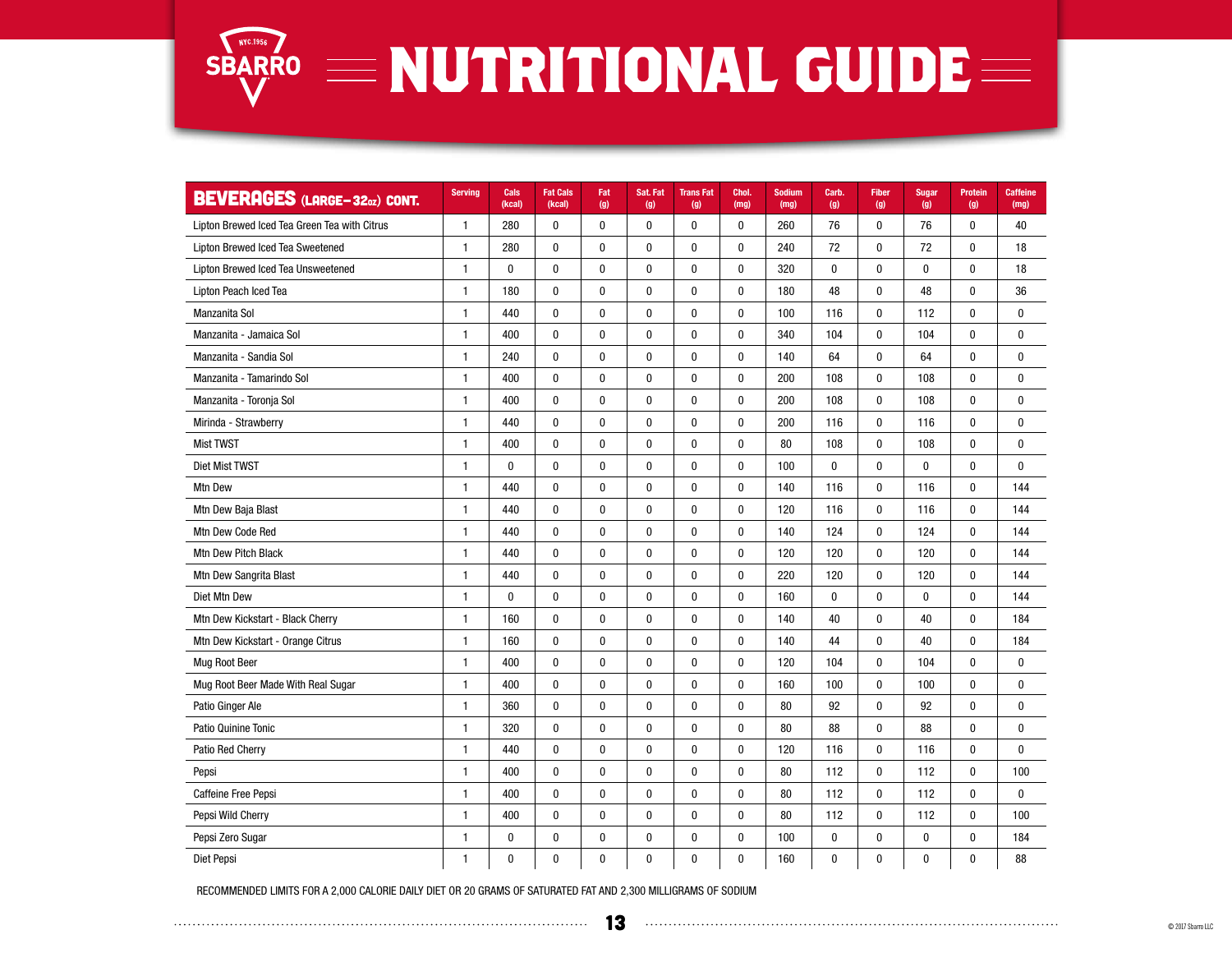

| <b>BEVERAGES (LARGE-320Z) CONT.</b>          | <b>Serving</b> | Cals<br>(kcal) | <b>Fat Cals</b><br>(kcal) | Fat<br>(g)   | Sat. Fat<br>(g) | <b>TransFat</b><br>(g) | Chol.<br>(mg) | <b>Sodium</b><br>(mg) | Carb.<br>(g) | <b>Fiber</b><br>(g) | <b>Sugar</b><br>(g) | <b>Protein</b><br>(g) | <b>Caffeine</b><br>(mg) |
|----------------------------------------------|----------------|----------------|---------------------------|--------------|-----------------|------------------------|---------------|-----------------------|--------------|---------------------|---------------------|-----------------------|-------------------------|
| Lipton Brewed Iced Tea Green Tea with Citrus | $\mathbf{1}$   | 280            | $\pmb{0}$                 | $\pmb{0}$    | $\pmb{0}$       | $\pmb{0}$              | $\bf{0}$      | 260                   | 76           | $\pmb{0}$           | 76                  | $\mathbf 0$           | 40                      |
| Lipton Brewed Iced Tea Sweetened             | $\mathbf{1}$   | 280            | $\pmb{0}$                 | $\pmb{0}$    | $\pmb{0}$       | $\pmb{0}$              | 0             | 240                   | 72           | 0                   | 72                  | $\mathbf{0}$          | 18                      |
| Lipton Brewed Iced Tea Unsweetened           | 1              | $\pmb{0}$      | $\pmb{0}$                 | $\pmb{0}$    | $\pmb{0}$       | $\pmb{0}$              | $\pmb{0}$     | 320                   | $\pmb{0}$    | $\pmb{0}$           | $\pmb{0}$           | $\mathbf{0}$          | 18                      |
| Lipton Peach Iced Tea                        | $\mathbf{1}$   | 180            | $\mathbf 0$               | $\mathbf{0}$ | 0               | $\mathbf 0$            | $\bf{0}$      | 180                   | 48           | $\mathbf{0}$        | 48                  | $\mathbf{0}$          | 36                      |
| Manzanita Sol                                | $\mathbf{1}$   | 440            | 0                         | $\bf{0}$     | 0               | $\bf{0}$               | $\pmb{0}$     | 100                   | 116          | 0                   | 112                 | $\mathbf{0}$          | $\mathbf{0}$            |
| Manzanita - Jamaica Sol                      | $\mathbf{1}$   | 400            | $\pmb{0}$                 | $\pmb{0}$    | 0               | $\pmb{0}$              | $\pmb{0}$     | 340                   | 104          | $\mathbf 0$         | 104                 | $\mathbf 0$           | $\mathbf 0$             |
| Manzanita - Sandia Sol                       | $\mathbf{1}$   | 240            | $\pmb{0}$                 | $\pmb{0}$    | 0               | $\pmb{0}$              | $\pmb{0}$     | 140                   | 64           | $\pmb{0}$           | 64                  | $\pmb{0}$             | $\mathbf{0}$            |
| Manzanita - Tamarindo Sol                    | $\mathbf{1}$   | 400            | $\pmb{0}$                 | $\pmb{0}$    | 0               | $\mathbf 0$            | $\pmb{0}$     | 200                   | 108          | 0                   | 108                 | $\mathbf{0}$          | $\mathbf{0}$            |
| Manzanita - Toronja Sol                      | $\mathbf{1}$   | 400            | 0                         | $\bf{0}$     | 0               | $\bf{0}$               | $\bf{0}$      | 200                   | 108          | $\mathbf{0}$        | 108                 | $\mathbf{0}$          | $\bf{0}$                |
| Mirinda - Strawberry                         | $\mathbf{1}$   | 440            | 0                         | 0            | 0               | $\bf{0}$               | $\bf{0}$      | 200                   | 116          | 0                   | 116                 | $\mathbf{0}$          | 0                       |
| <b>Mist TWST</b>                             | 1              | 400            | $\pmb{0}$                 | $\pmb{0}$    | $\pmb{0}$       | $\pmb{0}$              | $\pmb{0}$     | 80                    | 108          | $\pmb{0}$           | 108                 | $\mathbf{0}$          | $\mathbf 0$             |
| Diet Mist TWST                               | $\mathbf{1}$   | $\bf{0}$       | 0                         | $\bf{0}$     | 0               | $\bf{0}$               | $\bf{0}$      | 100                   | $\bf{0}$     | 0                   | 0                   | $\mathbf{0}$          | $\bf{0}$                |
| Mtn Dew                                      | $\mathbf{1}$   | 440            | $\pmb{0}$                 | $\pmb{0}$    | $\pmb{0}$       | $\pmb{0}$              | $\pmb{0}$     | 140                   | 116          | $\pmb{0}$           | 116                 | $\mathbf{0}$          | 144                     |
| Mtn Dew Baja Blast                           | $\mathbf{1}$   | 440            | $\mathbf{0}$              | $\bf{0}$     | $\mathbf{0}$    | $\bf{0}$               | $\bf{0}$      | 120                   | 116          | $\mathbf 0$         | 116                 | $\mathbf{0}$          | 144                     |
| Mtn Dew Code Red                             | $\mathbf{1}$   | 440            | $\pmb{0}$                 | $\pmb{0}$    | 0               | $\pmb{0}$              | $\pmb{0}$     | 140                   | 124          | $\pmb{0}$           | 124                 | $\mathbf 0$           | 144                     |
| Mtn Dew Pitch Black                          | $\mathbf{1}$   | 440            | $\pmb{0}$                 | $\pmb{0}$    | $\pmb{0}$       | $\pmb{0}$              | $\pmb{0}$     | 120                   | 120          | 0                   | 120                 | $\mathbf 0$           | 144                     |
| Mtn Dew Sangrita Blast                       | $\mathbf{1}$   | 440            | $\pmb{0}$                 | $\pmb{0}$    | 0               | $\pmb{0}$              | $\pmb{0}$     | 220                   | 120          | $\pmb{0}$           | 120                 | $\bf{0}$              | 144                     |
| Diet Mtn Dew                                 | $\mathbf{1}$   | $\mathbf 0$    | $\pmb{0}$                 | $\pmb{0}$    | $\pmb{0}$       | $\pmb{0}$              | $\pmb{0}$     | 160                   | $\bf{0}$     | $\pmb{0}$           | $\mathbf 0$         | $\mathbf 0$           | 144                     |
| Mtn Dew Kickstart - Black Cherry             | $\mathbf{1}$   | 160            | $\mathbf{0}$              | $\mathbf{0}$ | $\mathbf{0}$    | $\mathbf 0$            | $\bf{0}$      | 140                   | 40           | $\mathbf{0}$        | 40                  | $\mathbf{0}$          | 184                     |
| Mtn Dew Kickstart - Orange Citrus            | $\mathbf{1}$   | 160            | $\pmb{0}$                 | $\bf{0}$     | 0               | $\bf{0}$               | $\bf{0}$      | 140                   | 44           | 0                   | 40                  | $\mathbf{0}$          | 184                     |
| Mug Root Beer                                | $\mathbf{1}$   | 400            | $\pmb{0}$                 | $\pmb{0}$    | 0               | $\pmb{0}$              | $\pmb{0}$     | 120                   | 104          | $\pmb{0}$           | 104                 | $\mathbf{0}$          | $\mathbf{0}$            |
| Mug Root Beer Made With Real Sugar           | $\mathbf{1}$   | 400            | 0                         | $\pmb{0}$    | 0               | $\boldsymbol{0}$       | $\pmb{0}$     | 160                   | 100          | 0                   | 100                 | $\bf{0}$              | 0                       |
| Patio Ginger Ale                             | $\mathbf{1}$   | 360            | $\pmb{0}$                 | $\pmb{0}$    | 0               | $\pmb{0}$              | $\pmb{0}$     | 80                    | 92           | $\pmb{0}$           | 92                  | $\mathbf 0$           | $\mathbf 0$             |
| Patio Quinine Tonic                          | $\mathbf{1}$   | 320            | $\mathbf{0}$              | $\bf{0}$     | 0               | $\bf{0}$               | $\mathbf{0}$  | 80                    | 88           | $\mathbf{0}$        | 88                  | $\mathbf{0}$          | $\mathbf{0}$            |
| Patio Red Cherry                             | $\mathbf{1}$   | 440            | $\pmb{0}$                 | $\pmb{0}$    | 0               | $\pmb{0}$              | $\pmb{0}$     | 120                   | 116          | 0                   | 116                 | $\mathbf{0}$          | $\mathbf{0}$            |
| Pepsi                                        | $\mathbf{1}$   | 400            | $\pmb{0}$                 | $\pmb{0}$    | $\pmb{0}$       | $\pmb{0}$              | $\pmb{0}$     | 80                    | 112          | 0                   | 112                 | $\mathbf{0}$          | 100                     |
| <b>Caffeine Free Pepsi</b>                   | 1              | 400            | $\pmb{0}$                 | $\bf{0}$     | 0               | $\pmb{0}$              | $\pmb{0}$     | 80                    | 112          | $\pmb{0}$           | 112                 | $\pmb{0}$             | $\mathbf{0}$            |
| Pepsi Wild Cherry                            | $\mathbf{1}$   | 400            | $\pmb{0}$                 | $\pmb{0}$    | 0               | $\pmb{0}$              | $\pmb{0}$     | 80                    | 112          | 0                   | 112                 | $\mathbf{0}$          | 100                     |
| Pepsi Zero Sugar                             | $\mathbf{1}$   | 0              | $\pmb{0}$                 | $\pmb{0}$    | $\pmb{0}$       | $\bf{0}$               | 0             | 100                   | $\pmb{0}$    | 0                   | 0                   | $\mathbf{0}$          | 184                     |
| Diet Pepsi                                   | $\mathbf{1}$   | 0              | 0                         | 0            | 0               | 0                      | 0             | 160                   | $\pmb{0}$    | 0                   | 0                   | 0                     | 88                      |

RECOMMENDED LIMITS FOR A 2,000 CALORIE DAILY DIET OR 20 GRAMS OF SATURATED FAT AND 2,300 MILLIGRAMS OF SODIUM